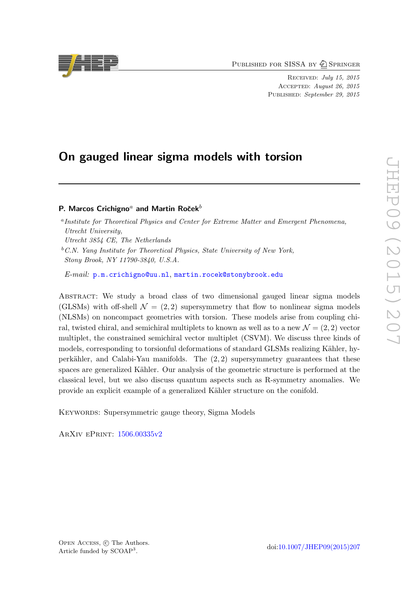PUBLISHED FOR SISSA BY 2 SPRINGER

Received: July 15, 2015 Accepted: August 26, 2015 PUBLISHED: September 29, 2015

# On gauged linear sigma models with torsion

## P. Marcos Crichigno<sup>a</sup> and Martin Roček<sup>b</sup>

Utrecht 3854 CE, The Netherlands

E-mail: [p.m.crichigno@uu.nl](mailto:p.m.crichigno@uu.nl), [martin.rocek@stonybrook.edu](mailto:martin.rocek@stonybrook.edu)

Abstract: We study a broad class of two dimensional gauged linear sigma models (GLSMs) with off-shell  $\mathcal{N} = (2, 2)$  supersymmetry that flow to nonlinear sigma models (NLSMs) on noncompact geometries with torsion. These models arise from coupling chiral, twisted chiral, and semichiral multiplets to known as well as to a new  $\mathcal{N} = (2, 2)$  vector multiplet, the constrained semichiral vector multiplet (CSVM). We discuss three kinds of models, corresponding to torsionful deformations of standard GLSMs realizing Kähler, hyperkähler, and Calabi-Yau manifolds. The  $(2, 2)$  supersymmetry guarantees that these spaces are generalized Kähler. Our analysis of the geometric structure is performed at the classical level, but we also discuss quantum aspects such as R-symmetry anomalies. We provide an explicit example of a generalized Kähler structure on the conifold.

Keywords: Supersymmetric gauge theory, Sigma Models

ArXiv ePrint: [1506.00335v2](http://arxiv.org/abs/1506.00335v2)



<sup>&</sup>lt;sup>a</sup> Institute for Theoretical Physics and Center for Extreme Matter and Emergent Phenomena, Utrecht University,

 ${}^bC.N.$  Yang Institute for Theoretical Physics, State University of New York, Stony Brook, NY 11790-3840, U.S.A.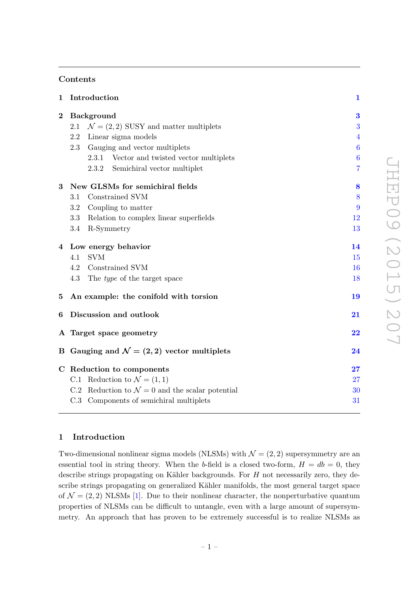# Contents

| $\mathbf 1$ | Introduction                                              | $\mathbf{1}$     |  |  |  |  |
|-------------|-----------------------------------------------------------|------------------|--|--|--|--|
| $\bf{2}$    | <b>Background</b>                                         |                  |  |  |  |  |
|             | $\mathcal{N} = (2, 2)$ SUSY and matter multiplets<br>2.1  | 3                |  |  |  |  |
|             | Linear sigma models<br>2.2                                | $\overline{4}$   |  |  |  |  |
|             | Gauging and vector multiplets<br>2.3                      | $\boldsymbol{6}$ |  |  |  |  |
|             | Vector and twisted vector multiplets<br>2.3.1             | $\boldsymbol{6}$ |  |  |  |  |
|             | 2.3.2<br>Semichiral vector multiplet                      | $\overline{7}$   |  |  |  |  |
| 3           | New GLSMs for semichiral fields                           |                  |  |  |  |  |
|             | Constrained SVM<br>$3.1\,$                                | 8                |  |  |  |  |
|             | Coupling to matter<br>3.2                                 | 9                |  |  |  |  |
|             | Relation to complex linear superfields<br>3.3             | 12               |  |  |  |  |
|             | R-Symmetry<br>3.4                                         | 13               |  |  |  |  |
|             | 4 Low energy behavior                                     |                  |  |  |  |  |
|             | SVM<br>4.1                                                | 15               |  |  |  |  |
|             | Constrained SVM<br>4.2                                    | 16               |  |  |  |  |
|             | 4.3<br>The <i>type</i> of the target space                | 18               |  |  |  |  |
| $\bf{5}$    | An example: the conifold with torsion                     | 19               |  |  |  |  |
| 6           | Discussion and outlook                                    | 21               |  |  |  |  |
|             | A Target space geometry                                   |                  |  |  |  |  |
|             | B Gauging and $\mathcal{N} = (2, 2)$ vector multiplets    | 24               |  |  |  |  |
|             | C Reduction to components                                 |                  |  |  |  |  |
|             | C.1 Reduction to $\mathcal{N} = (1, 1)$                   | 27               |  |  |  |  |
|             | C.2 Reduction to $\mathcal{N}=0$ and the scalar potential | 30               |  |  |  |  |
|             | C.3 Components of semichiral multiplets                   | 31               |  |  |  |  |
|             |                                                           |                  |  |  |  |  |

# JHEP09 (2015) 207 JHEP09(2015)207

# <span id="page-1-0"></span>1 Introduction

Two-dimensional nonlinear sigma models (NLSMs) with  $\mathcal{N} = (2, 2)$  supersymmetry are an essential tool in string theory. When the b-field is a closed two-form,  $H = db = 0$ , they describe strings propagating on Kähler backgrounds. For  $H$  not necessarily zero, they describe strings propagating on generalized Kähler manifolds, the most general target space of  $\mathcal{N} = (2, 2)$  NLSMs [\[1\]](#page-32-0). Due to their nonlinear character, the nonperturbative quantum properties of NLSMs can be difficult to untangle, even with a large amount of supersymmetry. An approach that has proven to be extremely successful is to realize NLSMs as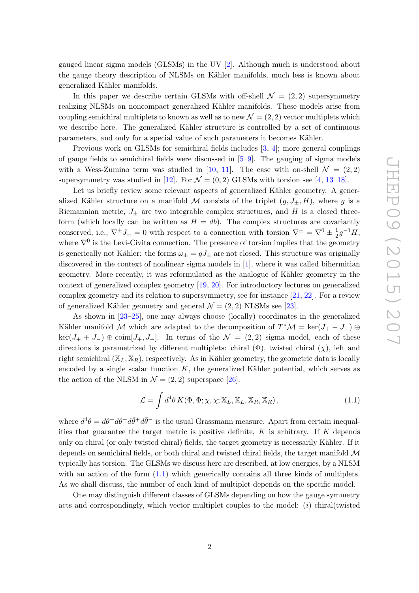gauged linear sigma models (GLSMs) in the UV [\[2\]](#page-32-1). Although much is understood about the gauge theory description of NLSMs on Kähler manifolds, much less is known about generalized Kähler manifolds.

In this paper we describe certain GLSMs with off-shell  $\mathcal{N} = (2, 2)$  supersymmetry realizing NLSMs on noncompact generalized Kähler manifolds. These models arise from coupling semichiral multiplets to known as well as to new  $\mathcal{N} = (2, 2)$  vector multiplets which we describe here. The generalized Kähler structure is controlled by a set of continuous parameters, and only for a special value of such parameters it becomes Kähler.

Previous work on GLSMs for semichiral fields includes [\[3,](#page-32-2) [4\]](#page-32-3); more general couplings of gauge fields to semichiral fields were discussed in [\[5](#page-32-4)[–9\]](#page-32-5). The gauging of sigma models with a Wess-Zumino term was studied in [\[10,](#page-32-6) [11\]](#page-32-7). The case with on-shell  $\mathcal{N} = (2, 2)$ supersymmetry was studied in [\[12\]](#page-32-8). For  $\mathcal{N} = (0, 2)$  GLSMs with torsion see [\[4,](#page-32-3) [13](#page-32-9)[–18\]](#page-33-0).

Let us briefly review some relevant aspects of generalized Kähler geometry. A generalized Kähler structure on a manifold M consists of the triplet  $(g, J_{\pm}, H)$ , where g is a Riemannian metric,  $J_{\pm}$  are two integrable complex structures, and H is a closed threeform (which locally can be written as  $H = db$ ). The complex structures are covariantly conserved, i.e.,  $\nabla^{\pm} J_{\pm} = 0$  with respect to a connection with torsion  $\nabla^{\pm} = \nabla^0 \pm \frac{1}{2}$  $\frac{1}{2}g^{-1}H,$ where  $\nabla^0$  is the Levi-Civita connection. The presence of torsion implies that the geometry is generically not Kähler: the forms  $\omega_{\pm} = gJ_{\pm}$  are not closed. This structure was originally discovered in the context of nonlinear sigma models in [\[1\]](#page-32-0), where it was called bihermitian geometry. More recently, it was reformulated as the analogue of Kähler geometry in the context of generalized complex geometry [\[19,](#page-33-1) [20\]](#page-33-2). For introductory lectures on generalized complex geometry and its relation to supersymmetry, see for instance [\[21,](#page-33-3) [22\]](#page-33-4). For a review of generalized Kähler geometry and general  $\mathcal{N} = (2, 2)$  NLSMs see [\[23\]](#page-33-5).

As shown in [\[23](#page-33-5)[–25\]](#page-33-6), one may always choose (locally) coordinates in the generalized Kähler manifold M which are adapted to the decomposition of  $T^*\mathcal{M} = \text{ker}(J_+ - J_-) \oplus$  $\ker(J_+ + J_-) \oplus \text{coim}[J_+, J_-]$ . In terms of the  $\mathcal{N} = (2, 2)$  sigma model, each of these directions is parametrized by different multiplets: chiral  $(\Phi)$ , twisted chiral  $(\chi)$ , left and right semichiral  $(X_L, X_R)$ , respectively. As in Kähler geometry, the geometric data is locally encoded by a single scalar function  $K$ , the generalized Kähler potential, which serves as the action of the NLSM in  $\mathcal{N} = (2, 2)$  superspace [\[26\]](#page-33-7):

<span id="page-2-0"></span>
$$
\mathcal{L} = \int d^4\theta \, K(\Phi, \bar{\Phi}; \chi, \bar{\chi}; \mathbb{X}_L, \bar{\mathbb{X}}_L, \mathbb{X}_R, \bar{\mathbb{X}}_R), \tag{1.1}
$$

where  $d^4\theta = d\theta^+d\theta^-d\bar{\theta}^+d\bar{\theta}^-$  is the usual Grassmann measure. Apart from certain inequalities that guarantee the target metric is positive definite,  $K$  is arbitrary. If  $K$  depends only on chiral (or only twisted chiral) fields, the target geometry is necessarily Kähler. If it depends on semichiral fields, or both chiral and twisted chiral fields, the target manifold M typically has torsion. The GLSMs we discuss here are described, at low energies, by a NLSM with an action of the form  $(1.1)$  which generically contains all three kinds of multiplets. As we shall discuss, the number of each kind of multiplet depends on the specific model.

One may distinguish different classes of GLSMs depending on how the gauge symmetry acts and correspondingly, which vector multiplet couples to the model: (i) chiral(twisted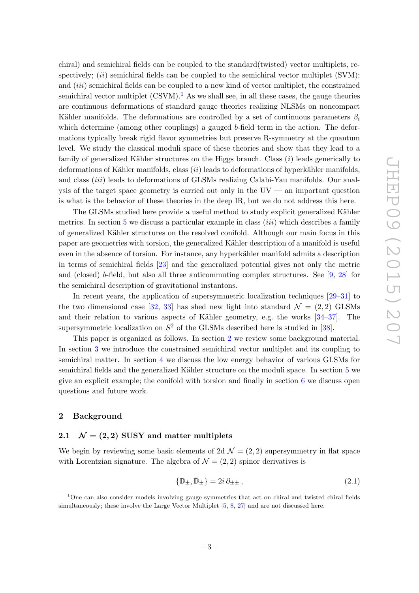chiral) and semichiral fields can be coupled to the standard(twisted) vector multiplets, respectively;  $(ii)$  semichiral fields can be coupled to the semichiral vector multiplet (SVM); and *(iii)* semichiral fields can be coupled to a new kind of vector multiplet, the constrained semichiral vector multiplet  $(CSVM)^{1}$  $(CSVM)^{1}$  $(CSVM)^{1}$ . As we shall see, in all these cases, the gauge theories are continuous deformations of standard gauge theories realizing NLSMs on noncompact Kähler manifolds. The deformations are controlled by a set of continuous parameters  $\beta_i$ which determine (among other couplings) a gauged  $b$ -field term in the action. The deformations typically break rigid flavor symmetries but preserve R-symmetry at the quantum level. We study the classical moduli space of these theories and show that they lead to a family of generalized Kähler structures on the Higgs branch. Class  $(i)$  leads generically to deformations of Kähler manifolds, class  $(ii)$  leads to deformations of hyperkähler manifolds, and class *(iii)* leads to deformations of GLSMs realizing Calabi-Yau manifolds. Our analysis of the target space geometry is carried out only in the  $UV$  — an important question is what is the behavior of these theories in the deep IR, but we do not address this here.

The GLSMs studied here provide a useful method to study explicit generalized Kähler metrics. In section [5](#page-19-0) we discuss a particular example in class  $(iii)$  which describes a family of generalized K¨ahler structures on the resolved conifold. Although our main focus in this paper are geometries with torsion, the generalized Kähler description of a manifold is useful even in the absence of torsion. For instance, any hyperkähler manifold admits a description in terms of semichiral fields [\[23\]](#page-33-5) and the generalized potential gives not only the metric and (closed) b-field, but also all three anticommuting complex structures. See [\[9,](#page-32-5) [28\]](#page-33-8) for the semichiral description of gravitational instantons.

In recent years, the application of supersymmetric localization techniques [\[29–](#page-33-9)[31\]](#page-33-10) to the two dimensional case [\[32,](#page-33-11) [33\]](#page-33-12) has shed new light into standard  $\mathcal{N} = (2, 2)$  GLSMs and their relation to various aspects of Kähler geometry, e.g. the works  $[34-37]$ . The supersymmetric localization on  $S^2$  of the GLSMs described here is studied in [\[38\]](#page-34-1).

This paper is organized as follows. In section [2](#page-3-0) we review some background material. In section [3](#page-8-0) we introduce the constrained semichiral vector multiplet and its coupling to semichiral matter. In section [4](#page-14-0) we discuss the low energy behavior of various GLSMs for semichiral fields and the generalized Kähler structure on the moduli space. In section [5](#page-19-0) we give an explicit example; the conifold with torsion and finally in section [6](#page-21-0) we discuss open questions and future work.

#### <span id="page-3-0"></span>2 Background

## <span id="page-3-1"></span>2.1  $\mathcal{N} = (2, 2)$  SUSY and matter multiplets

We begin by reviewing some basic elements of 2d  $\mathcal{N} = (2, 2)$  supersymmetry in flat space with Lorentzian signature. The algebra of  $\mathcal{N} = (2, 2)$  spinor derivatives is

$$
\{\mathbb{D}_{\pm}, \bar{\mathbb{D}}_{\pm}\} = 2i \,\partial_{\pm \pm} \,, \tag{2.1}
$$

<span id="page-3-2"></span> $1$ One can also consider models involving gauge symmetries that act on chiral and twisted chiral fields simultaneously; these involve the Large Vector Multiplet [\[5,](#page-32-4) [8,](#page-32-10) [27\]](#page-33-14) and are not discussed here.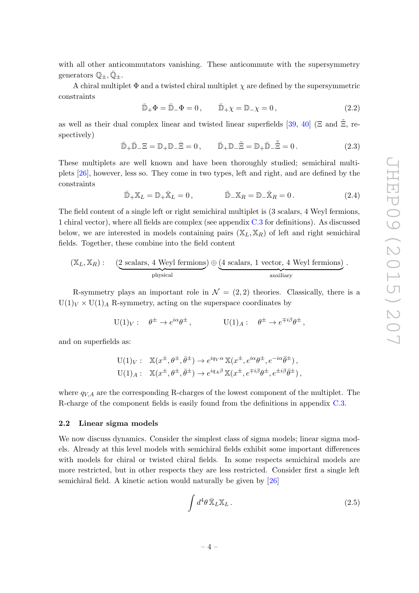with all other anticommutators vanishing. These anticommute with the supersymmetry generators  $\mathbb{Q}_+, \overline{\mathbb{Q}}_+$ .

A chiral multiplet  $\Phi$  and a twisted chiral multiplet  $\chi$  are defined by the supersymmetric constraints

$$
\bar{\mathbb{D}}_{+}\Phi = \bar{\mathbb{D}}_{-}\Phi = 0, \qquad \bar{\mathbb{D}}_{+}\chi = \mathbb{D}_{-}\chi = 0, \tag{2.2}
$$

as well as their dual complex linear and twisted linear superfields [\[39,](#page-34-2) [40\]](#page-34-3) ( $\Xi$  and  $\Xi$ , respectively)

$$
\bar{\mathbb{D}}_{+}\bar{\mathbb{D}}_{-}\Xi = \mathbb{D}_{+}\mathbb{D}_{-}\bar{\Xi} = 0, \qquad \bar{\mathbb{D}}_{+}\mathbb{D}_{-}\tilde{\Xi} = \mathbb{D}_{+}\bar{\mathbb{D}}_{-}\bar{\Xi} = 0.
$$
\n(2.3)

These multiplets are well known and have been thoroughly studied; semichiral multiplets [\[26\]](#page-33-7), however, less so. They come in two types, left and right, and are defined by the constraints

$$
\bar{\mathbb{D}}_+ \mathbb{X}_L = \mathbb{D}_+ \bar{\mathbb{X}}_L = 0, \qquad \qquad \bar{\mathbb{D}}_- \mathbb{X}_R = \mathbb{D}_- \bar{\mathbb{X}}_R = 0. \qquad (2.4)
$$

The field content of a single left or right semichiral multiplet is (3 scalars, 4 Weyl fermions, 1 chiral vector), where all fields are complex (see appendix [C.3](#page-31-0) for definitions). As discussed below, we are interested in models containing pairs  $(X_L, X_R)$  of left and right semichiral fields. Together, these combine into the field content

$$
(\mathbb{X}_L, \mathbb{X}_R):
$$
  $(2 \text{ scalars}, 4 \text{ Weyl fermions}) \oplus (4 \text{ scalars}, 1 \text{ vector}, 4 \text{ Weyl fermions})$   
<sub>physical</sub> <sub>auxiliary</sub>

R-symmetry plays an important role in  $\mathcal{N} = (2, 2)$  theories. Classically, there is a  $U(1)_V \times U(1)_A$  R-symmetry, acting on the superspace coordinates by

$$
U(1)_V: \quad \theta^{\pm} \to e^{i\alpha} \theta^{\pm} , \qquad U(1)_A: \quad \theta^{\pm} \to e^{\mp i\beta} \theta^{\pm} ,
$$

and on superfields as:

$$
U(1)_V: \mathbb{X}(x^{\pm}, \theta^{\pm}, \bar{\theta}^{\pm}) \to e^{iq_V \alpha} \mathbb{X}(x^{\pm}, e^{i\alpha} \theta^{\pm}, e^{-i\alpha} \bar{\theta}^{\pm}),
$$
  

$$
U(1)_A: \mathbb{X}(x^{\pm}, \theta^{\pm}, \bar{\theta}^{\pm}) \to e^{iq_A \beta} \mathbb{X}(x^{\pm}, e^{\mp i\beta} \theta^{\pm}, e^{\pm i\beta} \bar{\theta}^{\pm}),
$$

where  $q_{VA}$  are the corresponding R-charges of the lowest component of the multiplet. The R-charge of the component fields is easily found from the definitions in appendix [C.3.](#page-31-0)

#### <span id="page-4-0"></span>2.2 Linear sigma models

We now discuss dynamics. Consider the simplest class of sigma models; linear sigma models. Already at this level models with semichiral fields exhibit some important differences with models for chiral or twisted chiral fields. In some respects semichiral models are more restricted, but in other respects they are less restricted. Consider first a single left semichiral field. A kinetic action would naturally be given by [\[26\]](#page-33-7)

$$
\int d^4\theta \, \bar{\mathbb{X}}_L \mathbb{X}_L \,. \tag{2.5}
$$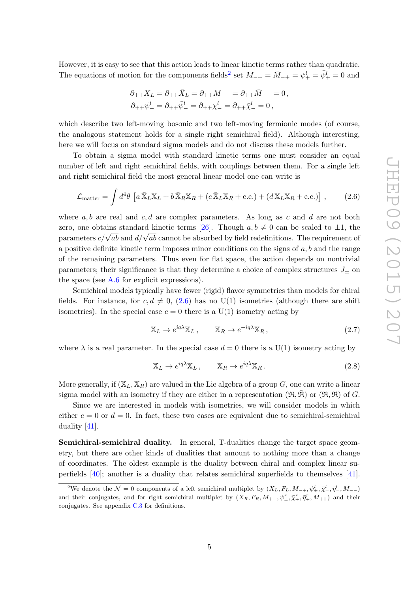However, it is easy to see that this action leads to linear kinetic terms rather than quadratic. The equations of motion for the components fields<sup>[2](#page-5-0)</sup> set  $M_{-+} = \bar{M}_{-+} = \psi_{+}^{l} = \bar{\psi}_{+}^{l} = 0$  and

$$
\begin{split} \partial_{++}X_L &= \partial_{++}\bar{X}_L = \partial_{++}M_{--} = \partial_{++}\bar{M}_{--} = 0\,,\\ \partial_{++}\psi_-^l &= \partial_{++}\bar{\psi}_-^l = \partial_{++}\chi_-^l = \partial_{++}\bar{\chi}_-^l = 0\,, \end{split}
$$

which describe two left-moving bosonic and two left-moving fermionic modes (of course, the analogous statement holds for a single right semichiral field). Although interesting, here we will focus on standard sigma models and do not discuss these models further.

To obtain a sigma model with standard kinetic terms one must consider an equal number of left and right semichiral fields, with couplings between them. For a single left and right semichiral field the most general linear model one can write is

<span id="page-5-1"></span>
$$
\mathcal{L}_{\text{matter}} = \int d^4 \theta \left[ a \, \bar{\mathbb{X}}_L \mathbb{X}_L + b \, \bar{\mathbb{X}}_R \mathbb{X}_R + (c \, \bar{\mathbb{X}}_L \mathbb{X}_R + \text{c.c.}) + (d \, \mathbb{X}_L \mathbb{X}_R + \text{c.c.}) \right] \,, \tag{2.6}
$$

where  $a, b$  are real and  $c, d$  are complex parameters. As long as c and d are not both zero, one obtains standard kinetic terms [\[26\]](#page-33-7). Though  $a, b \neq 0$  can be scaled to  $\pm 1$ , the parameters  $c/\sqrt{ab}$  and  $d/\sqrt{ab}$  cannot be absorbed by field redefinitions. The requirement of a positive definite kinetic term imposes minor conditions on the signs of  $a, b$  and the range of the remaining parameters. Thus even for flat space, the action depends on nontrivial parameters; their significance is that they determine a choice of complex structures  $J_{\pm}$  on the space (see  $A.6$  for explicit expressions).

Semichiral models typically have fewer (rigid) flavor symmetries than models for chiral fields. For instance, for  $c, d \neq 0$ , [\(2.6\)](#page-5-1) has no U(1) isometries (although there are shift isometries). In the special case  $c = 0$  there is a U(1) isometry acting by

<span id="page-5-2"></span>
$$
\mathbb{X}_L \to e^{iq\lambda} \mathbb{X}_L \,, \qquad \mathbb{X}_R \to e^{-iq\lambda} \mathbb{X}_R \,, \tag{2.7}
$$

where  $\lambda$  is a real parameter. In the special case  $d = 0$  there is a U(1) isometry acting by

<span id="page-5-3"></span>
$$
\mathbb{X}_L \to e^{iq\lambda} \mathbb{X}_L \,, \qquad \mathbb{X}_R \to e^{iq\lambda} \mathbb{X}_R \,. \tag{2.8}
$$

More generally, if  $(\mathbb{X}_L, \mathbb{X}_R)$  are valued in the Lie algebra of a group G, one can write a linear sigma model with an isometry if they are either in a representation  $(\mathfrak{R}, \mathfrak{R})$  or  $(\mathfrak{R}, \mathfrak{R})$  of G.

Since we are interested in models with isometries, we will consider models in which either  $c = 0$  or  $d = 0$ . In fact, these two cases are equivalent due to semichiral-semichiral duality [\[41\]](#page-34-4).

Semichiral-semichiral duality. In general, T-dualities change the target space geometry, but there are other kinds of dualities that amount to nothing more than a change of coordinates. The oldest example is the duality between chiral and complex linear superfields [\[40\]](#page-34-3); another is a duality that relates semichiral superfields to themselves [\[41\]](#page-34-4).

<span id="page-5-0"></span><sup>&</sup>lt;sup>2</sup>We denote the  $\mathcal{N}=0$  components of a left semichiral multiplet by  $(X_L, F_L, M_{-+}, \psi^l_{\pm}, \bar{\chi}^l_{-}, \bar{\eta}^l_{-}, M_{--})$ and their conjugates, and for right semichiral multiplet by  $(X_R, F_R, M_{+-}, \psi^r_\pm, \bar{\chi}^r_+, \bar{\eta}^r_+, M_{++})$  and their conjugates. See appendix [C.3](#page-31-0) for definitions.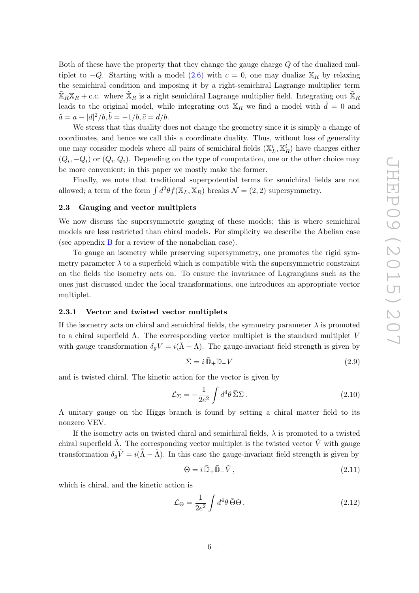Both of these have the property that they change the gauge charge Q of the dualized multiplet to  $-Q$ . Starting with a model [\(2.6\)](#page-5-1) with  $c = 0$ , one may dualize  $\mathbb{X}_R$  by relaxing the semichiral condition and imposing it by a right-semichiral Lagrange multiplier term  $\mathbb{X}_R\mathbb{X}_R +$  c.c. where  $\mathbb{X}_R$  is a right semichiral Lagrange multiplier field. Integrating out  $\mathbb{X}_R$ leads to the original model, while integrating out  $\mathbb{X}_R$  we find a model with  $\tilde{d} = 0$  and  $\tilde{a} = a - |d|^2 / b, \tilde{b} = -1/b, \tilde{c} = \bar{d}/b.$ 

We stress that this duality does not change the geometry since it is simply a change of coordinates, and hence we call this a coordinate duality. Thus, without loss of generality one may consider models where all pairs of semichiral fields  $(\mathbb{X}_{L}^{i}, \mathbb{X}_{R}^{i})$  have charges either  $(Q_i, -Q_i)$  or  $(Q_i, Q_i)$ . Depending on the type of computation, one or the other choice may be more convenient; in this paper we mostly make the former.

Finally, we note that traditional superpotential terms for semichiral fields are not allowed; a term of the form  $\int d^2\theta f(X_L, X_R)$  breaks  $\mathcal{N} = (2, 2)$  supersymmetry.

#### <span id="page-6-0"></span>2.3 Gauging and vector multiplets

We now discuss the supersymmetric gauging of these models; this is where semichiral models are less restricted than chiral models. For simplicity we describe the Abelian case (see appendix [B](#page-24-0) for a review of the nonabelian case).

To gauge an isometry while preserving supersymmetry, one promotes the rigid symmetry parameter  $\lambda$  to a superfield which is compatible with the supersymmetric constraint on the fields the isometry acts on. To ensure the invariance of Lagrangians such as the ones just discussed under the local transformations, one introduces an appropriate vector multiplet.

#### <span id="page-6-1"></span>2.3.1 Vector and twisted vector multiplets

If the isometry acts on chiral and semichiral fields, the symmetry parameter  $\lambda$  is promoted to a chiral superfield  $\Lambda$ . The corresponding vector multiplet is the standard multiplet V with gauge transformation  $\delta_q V = i(\bar{\Lambda} - \Lambda)$ . The gauge-invariant field strength is given by

<span id="page-6-2"></span>
$$
\Sigma = i \, \bar{\mathbb{D}}_+ \mathbb{D}_- V \tag{2.9}
$$

and is twisted chiral. The kinetic action for the vector is given by

<span id="page-6-3"></span>
$$
\mathcal{L}_{\Sigma} = -\frac{1}{2e^2} \int d^4\theta \,\bar{\Sigma}\Sigma \,. \tag{2.10}
$$

A unitary gauge on the Higgs branch is found by setting a chiral matter field to its nonzero VEV.

If the isometry acts on twisted chiral and semichiral fields,  $\lambda$  is promoted to a twisted chiral superfield  $\tilde{\Lambda}$ . The corresponding vector multiplet is the twisted vector  $\tilde{V}$  with gauge transformation  $\delta_g \tilde{V} = i(\bar{\tilde{\Lambda}} - \tilde{\Lambda})$ . In this case the gauge-invariant field strength is given by

<span id="page-6-4"></span>
$$
\Theta = i \, \bar{\mathbb{D}}_+ \bar{\mathbb{D}}_- \tilde{V} \,, \tag{2.11}
$$

which is chiral, and the kinetic action is

<span id="page-6-5"></span>
$$
\mathcal{L}_{\Theta} = \frac{1}{2e^2} \int d^4 \theta \,\bar{\Theta} \Theta \,. \tag{2.12}
$$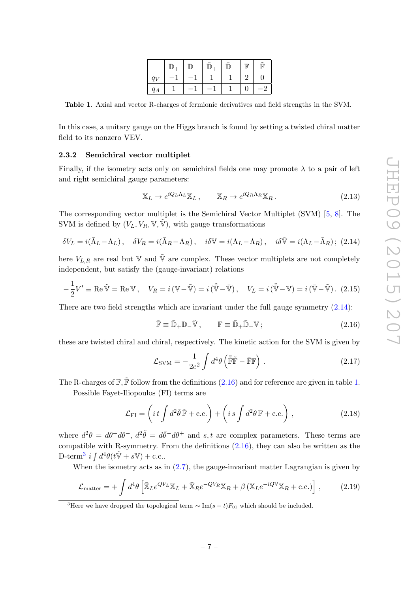|       |      |                          |  | $\mathbb F$ | $\tilde{\mathbb{F}}$ |
|-------|------|--------------------------|--|-------------|----------------------|
| $q_V$ | $-1$ | $\overline{\phantom{0}}$ |  |             | 0                    |
| $q_A$ |      |                          |  |             | $-2$                 |

<span id="page-7-3"></span>Table 1. Axial and vector R-charges of fermionic derivatives and field strengths in the SVM.

In this case, a unitary gauge on the Higgs branch is found by setting a twisted chiral matter field to its nonzero VEV.

#### <span id="page-7-0"></span>2.3.2 Semichiral vector multiplet

Finally, if the isometry acts only on semichiral fields one may promote  $\lambda$  to a pair of left and right semichiral gauge parameters:

$$
\mathbb{X}_L \to e^{iQ_L \Lambda_L} \mathbb{X}_L, \qquad \mathbb{X}_R \to e^{iQ_R \Lambda_R} \mathbb{X}_R. \tag{2.13}
$$

The corresponding vector multiplet is the Semichiral Vector Multiplet (SVM) [\[5,](#page-32-4) [8\]](#page-32-10). The SVM is defined by  $(V_L, V_R, V, \tilde{V})$ , with gauge transformations

<span id="page-7-1"></span>
$$
\delta V_L = i(\bar{\Lambda}_L - \Lambda_L), \quad \delta V_R = i(\bar{\Lambda}_R - \Lambda_R), \quad i\delta V = i(\Lambda_L - \Lambda_R), \quad i\delta \tilde{V} = i(\Lambda_L - \bar{\Lambda}_R); \tag{2.14}
$$

here  $V_{L,R}$  are real but  $\mathbb {V}$  and  $\tilde{\mathbb {V}}$  are complex. These vector multiplets are not completely independent, but satisfy the (gauge-invariant) relations

<span id="page-7-5"></span>
$$
-\frac{1}{2}V' \equiv \text{Re}\,\tilde{\mathbb{V}} = \text{Re}\,\mathbb{V}, \quad V_R = i\,(\mathbb{V}-\tilde{\mathbb{V}}) = i\,(\tilde{\bar{\mathbb{V}}}-\bar{\mathbb{V}})\,, \quad V_L = i\,(\tilde{\bar{\mathbb{V}}}-\mathbb{V}) = i\,(\bar{\mathbb{V}}-\tilde{\mathbb{V}})\,. \tag{2.15}
$$

There are two field strengths which are invariant under the full gauge symmetry  $(2.14)$ :

<span id="page-7-2"></span>
$$
\tilde{\mathbb{F}} \equiv \bar{\mathbb{D}}_{+} \mathbb{D}_{-} \tilde{\mathbb{V}}, \qquad \mathbb{F} \equiv \bar{\mathbb{D}}_{+} \bar{\mathbb{D}}_{-} \mathbb{V}; \tag{2.16}
$$

these are twisted chiral and chiral, respectively. The kinetic action for the SVM is given by

<span id="page-7-6"></span>
$$
\mathcal{L}_{\text{SVM}} = -\frac{1}{2e^2} \int d^4\theta \left( \bar{\tilde{\mathbb{F}}} \tilde{\mathbb{F}} - \bar{\mathbb{F}} \mathbb{F} \right) . \tag{2.17}
$$

The R-charges of  $\mathbb{F}, \tilde{\mathbb{F}}$  follow from the definitions [\(2.16\)](#page-7-2) and for reference are given in table [1.](#page-7-3)

Possible Fayet-Iliopoulos (FI) terms are

<span id="page-7-7"></span>
$$
\mathcal{L}_{\rm FI} = \left( i \, t \int d^2 \tilde{\theta} \, \tilde{\mathbb{F}} + \text{c.c.} \right) + \left( i \, s \int d^2 \theta \, \mathbb{F} + \text{c.c.} \right) \,, \tag{2.18}
$$

where  $d^2\theta = d\theta^+d\theta^-$ ,  $d^2\tilde{\theta} = d\bar{\theta}^-d\theta^+$  and s, t are complex parameters. These terms are compatible with R-symmetry. From the definitions [\(2.16\)](#page-7-2), they can also be written as the D-term<sup>[3](#page-7-4)</sup> i  $\int d^4\theta(t\tilde{\mathbb{V}} + s\mathbb{V}) + \text{c.c.}.$ 

When the isometry acts as in [\(2.7\)](#page-5-2), the gauge-invariant matter Lagrangian is given by

<span id="page-7-8"></span>
$$
\mathcal{L}_{\text{matter}} = + \int d^4 \theta \left[ \bar{\mathbb{X}}_L e^{Q V_L} \mathbb{X}_L + \bar{\mathbb{X}}_R e^{-Q V_R} \mathbb{X}_R + \beta \left( \mathbb{X}_L e^{-i Q V} \mathbb{X}_R + \text{c.c.} \right) \right], \tag{2.19}
$$

<span id="page-7-4"></span><sup>&</sup>lt;sup>3</sup>Here we have dropped the topological term  $\sim \text{Im}(s-t)F_{01}$  which should be included.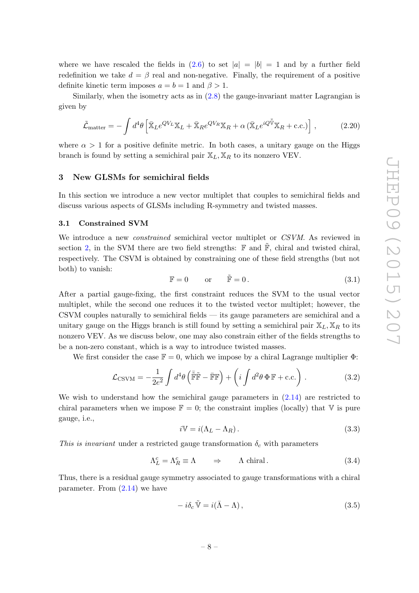where we have rescaled the fields in  $(2.6)$  to set  $|a| = |b| = 1$  and by a further field redefinition we take  $d = \beta$  real and non-negative. Finally, the requirement of a positive definite kinetic term imposes  $a = b = 1$  and  $\beta > 1$ .

Similarly, when the isometry acts as in [\(2.8\)](#page-5-3) the gauge-invariant matter Lagrangian is given by

$$
\tilde{\mathcal{L}}_{\text{matter}} = -\int d^4\theta \left[ \bar{\mathbb{X}}_L e^{QV_L} \mathbb{X}_L + \bar{\mathbb{X}}_R e^{QV_R} \mathbb{X}_R + \alpha \left( \bar{\mathbb{X}}_L e^{iQ \bar{\tilde{\mathbb{V}}}} \mathbb{X}_R + \text{c.c.} \right) \right],\tag{2.20}
$$

where  $\alpha > 1$  for a positive definite metric. In both cases, a unitary gauge on the Higgs branch is found by setting a semichiral pair  $\mathbb{X}_L, \mathbb{X}_R$  to its nonzero VEV.

#### <span id="page-8-0"></span>3 New GLSMs for semichiral fields

In this section we introduce a new vector multiplet that couples to semichiral fields and discuss various aspects of GLSMs including R-symmetry and twisted masses.

#### <span id="page-8-1"></span>3.1 Constrained SVM

We introduce a new *constrained* semichiral vector multiplet or CSVM. As reviewed in section [2,](#page-3-0) in the SVM there are two field strengths:  $\mathbb F$  and  $\mathbb F$ , chiral and twisted chiral, respectively. The CSVM is obtained by constraining one of these field strengths (but not both) to vanish:

$$
\mathbb{F} = 0 \qquad \text{or} \qquad \tilde{\mathbb{F}} = 0. \tag{3.1}
$$

After a partial gauge-fixing, the first constraint reduces the SVM to the usual vector multiplet, while the second one reduces it to the twisted vector multiplet; however, the CSVM couples naturally to semichiral fields — its gauge parameters are semichiral and a unitary gauge on the Higgs branch is still found by setting a semichiral pair  $\mathbb{X}_L, \mathbb{X}_R$  to its nonzero VEV. As we discuss below, one may also constrain either of the fields strengths to be a non-zero constant, which is a way to introduce twisted masses.

We first consider the case  $\mathbb{F} = 0$ , which we impose by a chiral Lagrange multiplier  $\Phi$ :

$$
\mathcal{L}_{\text{CSVM}} = -\frac{1}{2e^2} \int d^4\theta \left( \tilde{\mathbb{F}} \tilde{\mathbb{F}} - \bar{\mathbb{F}} \mathbb{F} \right) + \left( i \int d^2\theta \, \Phi \, \mathbb{F} + \text{c.c.} \right) . \tag{3.2}
$$

We wish to understand how the semichiral gauge parameters in  $(2.14)$  are restricted to chiral parameters when we impose  $\mathbb{F} = 0$ ; the constraint implies (locally) that V is pure gauge, i.e.,

$$
i\mathbb{V} = i(\Lambda_L - \Lambda_R). \tag{3.3}
$$

This is invariant under a restricted gauge transformation  $\delta_c$  with parameters

$$
\Lambda_L^c = \Lambda_R^c \equiv \Lambda \qquad \Rightarrow \qquad \Lambda \text{ chiral} \,. \tag{3.4}
$$

Thus, there is a residual gauge symmetry associated to gauge transformations with a chiral parameter. From  $(2.14)$  we have

<span id="page-8-2"></span>
$$
-i\delta_c \tilde{\mathbb{V}} = i(\bar{\Lambda} - \Lambda), \qquad (3.5)
$$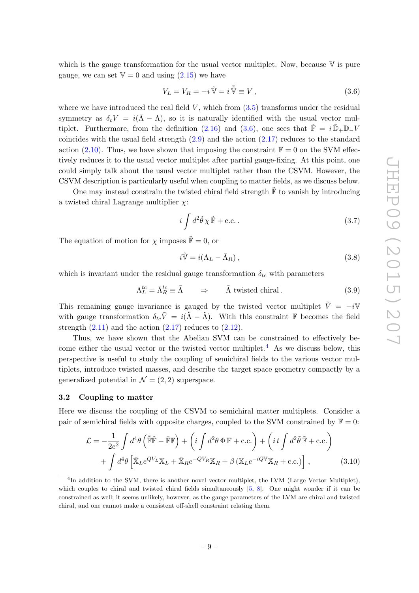which is the gauge transformation for the usual vector multiplet. Now, because  $\nabla$  is pure gauge, we can set  $V = 0$  and using  $(2.15)$  we have

<span id="page-9-1"></span>
$$
V_L = V_R = -i\,\tilde{\nabla} = i\,\tilde{\nabla} \equiv V\,,\tag{3.6}
$$

where we have introduced the real field  $V$ , which from  $(3.5)$  transforms under the residual symmetry as  $\delta_c V = i(\bar{\Lambda} - \Lambda)$ , so it is naturally identified with the usual vector mul-tiplet. Furthermore, from the definition [\(2.16\)](#page-7-2) and [\(3.6\)](#page-9-1), one sees that  $\tilde{\mathbb{F}} = i \bar{\mathbb{D}}_+ \mathbb{D}_- V$ coincides with the usual field strength  $(2.9)$  and the action  $(2.17)$  reduces to the standard action [\(2.10\)](#page-6-3). Thus, we have shown that imposing the constraint  $\mathbb{F} = 0$  on the SVM effectively reduces it to the usual vector multiplet after partial gauge-fixing. At this point, one could simply talk about the usual vector multiplet rather than the CSVM. However, the CSVM description is particularly useful when coupling to matter fields, as we discuss below.

One may instead constrain the twisted chiral field strength  $\tilde{F}$  to vanish by introducing a twisted chiral Lagrange multiplier  $\chi$ :

$$
i \int d^2 \tilde{\theta} \chi \, \tilde{\mathbb{F}} + \text{c.c.} \,. \tag{3.7}
$$

The equation of motion for  $\chi$  imposes  $\tilde{\mathbb{F}} = 0$ , or

<span id="page-9-3"></span>
$$
i\tilde{\mathbb{V}} = i(\Lambda_L - \bar{\Lambda}_R),\tag{3.8}
$$

which is invariant under the residual gauge transformation  $\delta_{tc}$  with parameters

$$
\Lambda_L^{tc} = \bar{\Lambda}_R^{tc} \equiv \tilde{\Lambda} \qquad \Rightarrow \qquad \tilde{\Lambda} \text{ twisted chiral} \,. \tag{3.9}
$$

This remaining gauge invariance is gauged by the twisted vector multiplet  $\tilde{V} = -i\mathbb{V}$ with gauge transformation  $\delta_{tc}\tilde{V} = i(\tilde{\tilde{\Lambda}} - \tilde{\Lambda})$ . With this constraint  $\mathbb F$  becomes the field strength  $(2.11)$  and the action  $(2.17)$  reduces to  $(2.12)$ .

Thus, we have shown that the Abelian SVM can be constrained to effectively be-come either the usual vector or the twisted vector multiplet.<sup>[4](#page-9-2)</sup> As we discuss below, this perspective is useful to study the coupling of semichiral fields to the various vector multiplets, introduce twisted masses, and describe the target space geometry compactly by a generalized potential in  $\mathcal{N} = (2, 2)$  superspace.

#### <span id="page-9-0"></span>3.2 Coupling to matter

Here we discuss the coupling of the CSVM to semichiral matter multiplets. Consider a pair of semichiral fields with opposite charges, coupled to the SVM constrained by  $\mathbb{F} = 0$ :

$$
\mathcal{L} = -\frac{1}{2e^2} \int d^4\theta \left( \tilde{\mathbb{F}} \tilde{\mathbb{F}} - \tilde{\mathbb{F}} \mathbb{F} \right) + \left( i \int d^2\theta \, \Phi \, \mathbb{F} + \text{c.c.} \right) + \left( i \int d^2\tilde{\theta} \, \tilde{\mathbb{F}} + \text{c.c.} \right) + \int d^4\theta \left[ \bar{\mathbb{X}}_L e^{QV_L} \mathbb{X}_L + \bar{\mathbb{X}}_R e^{-QV_R} \mathbb{X}_R + \beta \left( \mathbb{X}_L e^{-iQV} \mathbb{X}_R + \text{c.c.} \right) \right],
$$
(3.10)

<span id="page-9-2"></span><sup>&</sup>lt;sup>4</sup>In addition to the SVM, there is another novel vector multiplet, the LVM (Large Vector Multiplet), which couples to chiral and twisted chiral fields simultaneously [\[5,](#page-32-4) [8\]](#page-32-10). One might wonder if it can be constrained as well; it seems unlikely, however, as the gauge parameters of the LVM are chiral and twisted chiral, and one cannot make a consistent off-shell constraint relating them.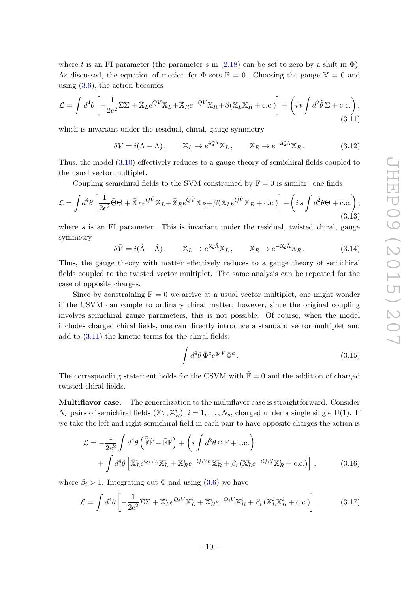where t is an FI parameter (the parameter s in  $(2.18)$  can be set to zero by a shift in  $\Phi$ ). As discussed, the equation of motion for  $\Phi$  sets  $\mathbb{F} = 0$ . Choosing the gauge  $\mathbb{V} = 0$  and using  $(3.6)$ , the action becomes

<span id="page-10-0"></span>
$$
\mathcal{L} = \int d^4\theta \left[ -\frac{1}{2e^2} \bar{\Sigma} \Sigma + \bar{\mathbb{X}}_L e^{QV} \mathbb{X}_L + \bar{\mathbb{X}}_R e^{-QV} \mathbb{X}_R + \beta (\mathbb{X}_L \mathbb{X}_R + \text{c.c.}) \right] + \left( i \, t \int d^2\tilde{\theta} \, \Sigma + \text{c.c.} \right),\tag{3.11}
$$

which is invariant under the residual, chiral, gauge symmetry

$$
\delta V = i(\bar{\Lambda} - \Lambda), \qquad \mathbb{X}_L \to e^{iQ\Lambda} \mathbb{X}_L, \qquad \mathbb{X}_R \to e^{-iQ\Lambda} \mathbb{X}_R. \tag{3.12}
$$

Thus, the model [\(3.10\)](#page-9-3) effectively reduces to a gauge theory of semichiral fields coupled to the usual vector multiplet.

Coupling semichiral fields to the SVM constrained by  $\tilde{F} = 0$  is similar: one finds

$$
\mathcal{L} = \int d^4\theta \left[ \frac{1}{2e^2} \bar{\Theta} \Theta + \bar{\mathbb{X}}_L e^{Q\tilde{V}} \mathbb{X}_L + \bar{\mathbb{X}}_R e^{Q\tilde{V}} \mathbb{X}_R + \beta (\mathbb{X}_L e^{Q\tilde{V}} \mathbb{X}_R + \text{c.c.}) \right] + \left( i \, s \int d^2\theta \Theta + \text{c.c.} \right),\tag{3.13}
$$

where  $s$  is an FI parameter. This is invariant under the residual, twisted chiral, gauge symmetry

$$
\delta \tilde{V} = i(\bar{\tilde{\Lambda}} - \tilde{\Lambda}), \qquad \mathbb{X}_L \to e^{iQ\tilde{\Lambda}} \mathbb{X}_L, \qquad \mathbb{X}_R \to e^{-iQ\tilde{\Lambda}} \mathbb{X}_R. \tag{3.14}
$$

Thus, the gauge theory with matter effectively reduces to a gauge theory of semichiral fields coupled to the twisted vector multiplet. The same analysis can be repeated for the case of opposite charges.

Since by constraining  $\mathbb{F} = 0$  we arrive at a usual vector multiplet, one might wonder if the CSVM can couple to ordinary chiral matter; however, since the original coupling involves semichiral gauge parameters, this is not possible. Of course, when the model includes charged chiral fields, one can directly introduce a standard vector multiplet and add to [\(3.11\)](#page-10-0) the kinetic terms for the chiral fields:

<span id="page-10-2"></span>
$$
\int d^4\theta \,\bar{\Phi}^a e^{q_a V} \Phi^a \,. \tag{3.15}
$$

The corresponding statement holds for the CSVM with  $\tilde{F} = 0$  and the addition of charged twisted chiral fields.

Multiflavor case. The generalization to the multiflavor case is straightforward. Consider  $N_s$  pairs of semichiral fields  $(\mathbb{X}_L^i, \mathbb{X}_R^i)$ ,  $i = 1, \ldots, N_s$ , charged under a single single U(1). If we take the left and right semichiral field in each pair to have opposite charges the action is

$$
\mathcal{L} = -\frac{1}{2e^2} \int d^4\theta \left( \bar{\tilde{\mathbb{F}}} \tilde{\mathbb{F}} - \bar{\mathbb{F}} \mathbb{F} \right) + \left( i \int d^2\theta \, \Phi \, \mathbb{F} + \text{c.c.} \right) \n+ \int d^4\theta \left[ \bar{\mathbb{X}}_L^i e^{Q_i V_L} \mathbb{X}_L^i + \bar{\mathbb{X}}_R^i e^{-Q_i V_R} \mathbb{X}_R^i + \beta_i \left( \mathbb{X}_L^i e^{-i Q_i V} \mathbb{X}_R^i + \text{c.c.} \right) \right],
$$
\n(3.16)

where  $\beta_i > 1$ . Integrating out  $\Phi$  and using [\(3.6\)](#page-9-1) we have

<span id="page-10-1"></span>
$$
\mathcal{L} = \int d^4\theta \left[ -\frac{1}{2e^2} \bar{\Sigma} \Sigma + \bar{\mathbb{X}}_L^i e^{Q_i V} \mathbb{X}_L^i + \bar{\mathbb{X}}_R^i e^{-Q_i V} \mathbb{X}_R^i + \beta_i \left( \mathbb{X}_L^i \mathbb{X}_R^i + \text{c.c.} \right) \right]. \tag{3.17}
$$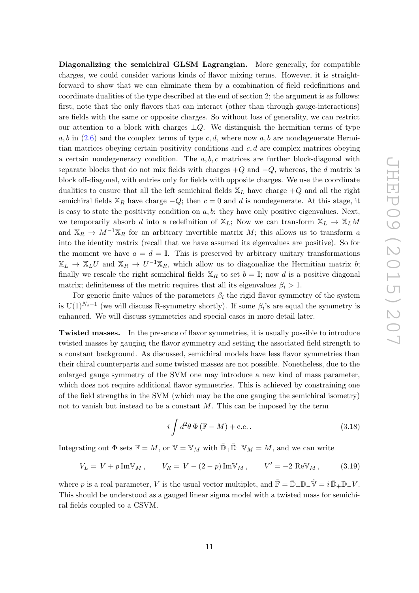Diagonalizing the semichiral GLSM Lagrangian. More generally, for compatible charges, we could consider various kinds of flavor mixing terms. However, it is straightforward to show that we can eliminate them by a combination of field redefinitions and coordinate dualities of the type described at the end of section 2; the argument is as follows: first, note that the only flavors that can interact (other than through gauge-interactions) are fields with the same or opposite charges. So without loss of generality, we can restrict our attention to a block with charges  $\pm Q$ . We distinguish the hermitian terms of type  $a, b$  in [\(2.6\)](#page-5-1) and the complex terms of type c, d, where now a, b are nondegenerate Hermitian matrices obeying certain positivity conditions and  $c, d$  are complex matrices obeying a certain nondegeneracy condition. The  $a, b, c$  matrices are further block-diagonal with separate blocks that do not mix fields with charges  $+Q$  and  $-Q$ , whereas, the d matrix is block off-diagonal, with entries only for fields with opposite charges. We use the coordinate dualities to ensure that all the left semichiral fields  $\mathbb{X}_L$  have charge  $+Q$  and all the right semichiral fields  $X_R$  have charge  $-Q$ ; then  $c = 0$  and d is nondegenerate. At this stage, it is easy to state the positivity condition on  $a, b$ : they have only positive eigenvalues. Next, we temporarily absorb d into a redefinition of  $\mathbb{X}_L$ ; Now we can transform  $\mathbb{X}_L \to \mathbb{X}_L M$ and  $\mathbb{X}_R \to M^{-1}\mathbb{X}_R$  for an arbitrary invertible matrix M; this allows us to transform a into the identity matrix (recall that we have assumed its eigenvalues are positive). So for the moment we have  $a = d = \mathbb{I}$ . This is preserved by arbitrary unitary transformations  $\mathbb{X}_L \to \mathbb{X}_L U$  and  $\mathbb{X}_R \to U^{-1} \mathbb{X}_R$ , which allow us to diagonalize the Hermitian matrix b; finally we rescale the right semichiral fields  $X_R$  to set  $b = \mathbb{I}$ ; now d is a positive diagonal matrix; definiteness of the metric requires that all its eigenvalues  $\beta_i > 1$ .

For generic finite values of the parameters  $\beta_i$  the rigid flavor symmetry of the system is U(1)<sup>N<sub>s</sub>-1</sup> (we will discuss R-symmetry shortly). If some  $\beta_i$ 's are equal the symmetry is enhanced. We will discuss symmetries and special cases in more detail later.

Twisted masses. In the presence of flavor symmetries, it is usually possible to introduce twisted masses by gauging the flavor symmetry and setting the associated field strength to a constant background. As discussed, semichiral models have less flavor symmetries than their chiral counterparts and some twisted masses are not possible. Nonetheless, due to the enlarged gauge symmetry of the SVM one may introduce a new kind of mass parameter, which does not require additional flavor symmetries. This is achieved by constraining one of the field strengths in the SVM (which may be the one gauging the semichiral isometry) not to vanish but instead to be a constant  $M$ . This can be imposed by the term

<span id="page-11-0"></span>
$$
i \int d^2 \theta \, \Phi \left( \mathbb{F} - M \right) + \text{c.c.} \tag{3.18}
$$

Integrating out  $\Phi$  sets  $\mathbb{F} = M$ , or  $\mathbb{V} = \mathbb{V}_M$  with  $\mathbb{D}_+ \mathbb{D}_- \mathbb{V}_M = M$ , and we can write

$$
V_L = V + p \operatorname{Im} V_M, \qquad V_R = V - (2 - p) \operatorname{Im} V_M, \qquad V' = -2 \operatorname{Re} V_M, \tag{3.19}
$$

where p is a real parameter, V is the usual vector multiplet, and  $\tilde{\mathbb{F}} = \bar{\mathbb{D}}_+ \mathbb{D}_- \tilde{\mathbb{V}} = i \bar{\mathbb{D}}_+ \mathbb{D}_- V$ . This should be understood as a gauged linear sigma model with a twisted mass for semichiral fields coupled to a CSVM.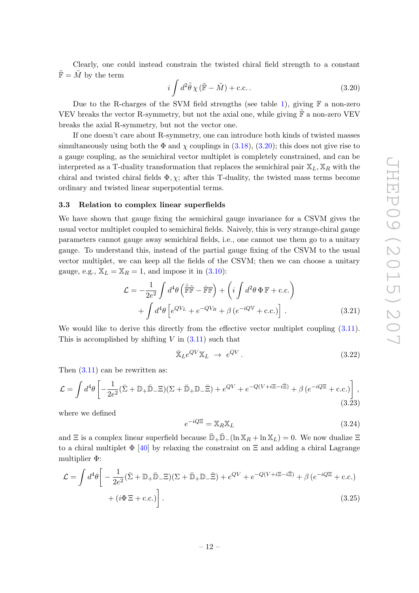Clearly, one could instead constrain the twisted chiral field strength to a constant  $\tilde{\mathbb{F}} = \tilde{M}$  by the term

<span id="page-12-1"></span>
$$
i \int d^2 \tilde{\theta} \chi \left( \tilde{\mathbb{F}} - \tilde{M} \right) + \text{c.c.} \,. \tag{3.20}
$$

Due to the R-charges of the SVM field strengths (see table [1\)](#page-7-3), giving  $\mathbb F$  a non-zero VEV breaks the vector R-symmetry, but not the axial one, while giving  $\tilde{\mathbb{F}}$  a non-zero VEV breaks the axial R-symmetry, but not the vector one.

If one doesn't care about R-symmetry, one can introduce both kinds of twisted masses simultaneously using both the  $\Phi$  and  $\chi$  couplings in [\(3.18\)](#page-11-0), [\(3.20\)](#page-12-1); this does not give rise to a gauge coupling, as the semichiral vector multiplet is completely constrained, and can be interpreted as a T-duality transformation that replaces the semichiral pair  $X_L, X_R$  with the chiral and twisted chiral fields  $\Phi$ ,  $\chi$ ; after this T-duality, the twisted mass terms become ordinary and twisted linear superpotential terms.

#### <span id="page-12-0"></span>3.3 Relation to complex linear superfields

We have shown that gauge fixing the semichiral gauge invariance for a CSVM gives the usual vector multiplet coupled to semichiral fields. Naively, this is very strange-chiral gauge parameters cannot gauge away semichiral fields, i.e., one cannot use them go to a unitary gauge. To understand this, instead of the partial gauge fixing of the CSVM to the usual vector multiplet, we can keep all the fields of the CSVM; then we can choose a unitary gauge, e.g.,  $\mathbb{X}_L = \mathbb{X}_R = 1$ , and impose it in [\(3.10\)](#page-9-3):

$$
\mathcal{L} = -\frac{1}{2e^2} \int d^4\theta \left( \tilde{\mathbb{F}} \tilde{\mathbb{F}} - \tilde{\mathbb{F}} \mathbb{F} \right) + \left( i \int d^2\theta \, \Phi \, \mathbb{F} + \text{c.c.} \right) \n+ \int d^4\theta \left[ e^{QV_L} + e^{-QV_R} + \beta \left( e^{-iQV} + \text{c.c.} \right) \right].
$$
\n(3.21)

We would like to derive this directly from the effective vector multiplet coupling  $(3.11)$ . This is accomplished by shifting  $V$  in  $(3.11)$  such that

<span id="page-12-3"></span>
$$
\bar{\mathbb{X}}_L e^{QV} \mathbb{X}_L \to e^{QV}.
$$
\n(3.22)

Then  $(3.11)$  can be rewritten as:

$$
\mathcal{L} = \int d^4\theta \left[ -\frac{1}{2e^2} (\bar{\Sigma} + \mathbb{D}_+ \bar{\mathbb{D}}_- \Xi)(\Sigma + \bar{\mathbb{D}}_+ \mathbb{D}_- \bar{\Xi}) + e^{QV} + e^{-Q(V + i\Xi - i\bar{\Xi})} + \beta \left( e^{-iQ\Xi} + \text{c.c.} \right) \right],
$$
\n(3.23)

where we defined

<span id="page-12-2"></span>
$$
e^{-iQ\Xi} = \mathbb{X}_R \mathbb{X}_L \tag{3.24}
$$

and  $\Xi$  is a complex linear superfield because  $\bar{\mathbb{D}}_+\bar{\mathbb{D}}_-(\ln X_R + \ln X_L) = 0$ . We now dualize  $\Xi$ to a chiral multiplet  $\Phi$  [\[40\]](#page-34-3) by relaxing the constraint on  $\Xi$  and adding a chiral Lagrange multiplier Φ:

$$
\mathcal{L} = \int d^4\theta \left[ -\frac{1}{2e^2} (\bar{\Sigma} + \mathbb{D}_+ \bar{\mathbb{D}}_- \Xi)(\Sigma + \bar{\mathbb{D}}_+ \mathbb{D}_- \bar{\Xi}) + e^{QV} + e^{-Q(V + i\Xi - i\bar{\Xi})} + \beta (e^{-iQ\Xi} + \text{c.c.}) + (i\Phi \Xi + \text{c.c.}) \right].
$$
\n(3.25)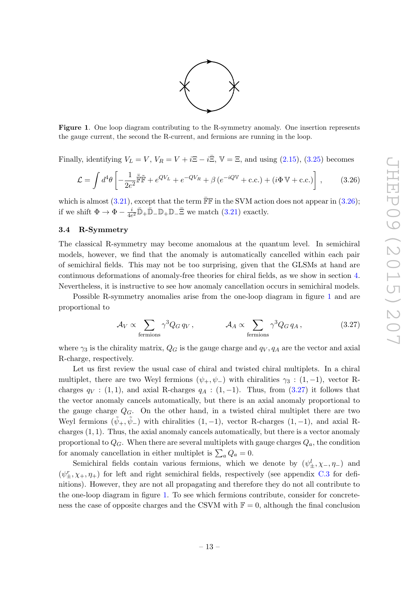

<span id="page-13-2"></span>Figure 1. One loop diagram contributing to the R-symmetry anomaly. One insertion represents the gauge current, the second the R-current, and fermions are running in the loop.

Finally, identifying  $V_L = V$ ,  $V_R = V + i\Xi - i\overline{\Xi}$ ,  $\mathbb{V} = \Xi$ , and using [\(2.15\)](#page-7-5), [\(3.25\)](#page-12-2) becomes

<span id="page-13-1"></span>
$$
\mathcal{L} = \int d^4\theta \left[ -\frac{1}{2e^2} \tilde{\mathbb{F}} \tilde{\mathbb{F}} + e^{QV_L} + e^{-QV_R} + \beta \left( e^{-iQV} + \text{c.c.} \right) + \left( i\Phi \, \mathbb{V} + \text{c.c.} \right) \right],\tag{3.26}
$$

which is almost  $(3.21)$ , except that the term  $\overline{\mathbb{F}}\mathbb{F}$  in the SVM action does not appear in  $(3.26)$ ; if we shift  $\Phi \to \Phi - \frac{i}{4\epsilon}$  $\frac{i}{4e^2}\bar{\mathbb{D}}_+\bar{\mathbb{D}}_-\mathbb{D}_+\bar{\mathbb{D}}_-\bar{\Xi}$  we match  $(3.21)$  $(3.21)$  exactly.

# <span id="page-13-0"></span>3.4 R-Symmetry

The classical R-symmetry may become anomalous at the quantum level. In semichiral models, however, we find that the anomaly is automatically cancelled within each pair of semichiral fields. This may not be too surprising, given that the GLSMs at hand are continuous deformations of anomaly-free theories for chiral fields, as we show in section [4.](#page-14-0) Nevertheless, it is instructive to see how anomaly cancellation occurs in semichiral models.

Possible R-symmetry anomalies arise from the one-loop diagram in figure [1](#page-13-2) and are proportional to

<span id="page-13-3"></span>
$$
\mathcal{A}_V \propto \sum_{\text{fermions}} \gamma^3 Q_G q_V, \qquad \mathcal{A}_A \propto \sum_{\text{fermions}} \gamma^3 Q_G q_A, \qquad (3.27)
$$

where  $\gamma_3$  is the chirality matrix,  $Q_G$  is the gauge charge and  $q_V, q_A$  are the vector and axial R-charge, respectively.

Let us first review the usual case of chiral and twisted chiral multiplets. In a chiral multiplet, there are two Weyl fermions  $(\psi_+, \psi_-)$  with chiralities  $\gamma_3$ :  $(1, -1)$ , vector Rcharges  $q_V$  : (1, 1), and axial R-charges  $q_A$  : (1, -1). Thus, from [\(3.27\)](#page-13-3) it follows that the vector anomaly cancels automatically, but there is an axial anomaly proportional to the gauge charge  $Q_G$ . On the other hand, in a twisted chiral multiplet there are two Weyl fermions  $(\psi_+,\psi_-)$  with chiralities  $(1,-1)$ , vector R-charges  $(1,-1)$ , and axial Rcharges  $(1, 1)$ . Thus, the axial anomaly cancels automatically, but there is a vector anomaly proportional to  $Q_G$ . When there are several multiplets with gauge charges  $Q_a$ , the condition for anomaly cancellation in either multiplet is  $\sum_a Q_a = 0$ .

Semichiral fields contain various fermions, which we denote by  $(\psi^l_{\pm}, \chi_-, \eta_-)$  and  $(\psi^r_\pm, \chi_+, \eta_+)$  for left and right semichiral fields, respectively (see appendix [C.3](#page-31-0) for definitions). However, they are not all propagating and therefore they do not all contribute to the one-loop diagram in figure [1.](#page-13-2) To see which fermions contribute, consider for concreteness the case of opposite charges and the CSVM with  $\mathbb{F} = 0$ , although the final conclusion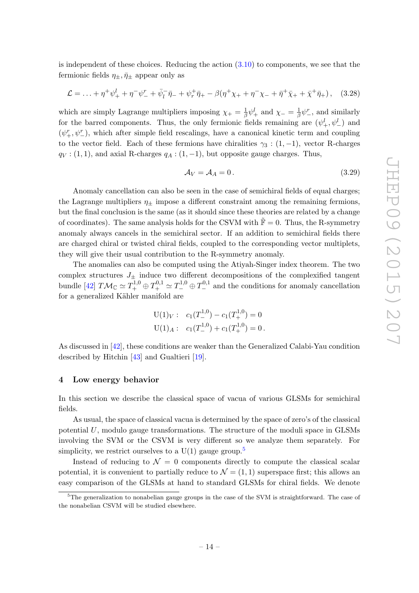is independent of these choices. Reducing the action  $(3.10)$  to components, we see that the fermionic fields  $\eta_{\pm}, \bar{\eta}_{\pm}$  appear only as

$$
\mathcal{L} = \ldots + \eta^+ \psi_+^l + \eta^- \psi_-^r + \bar{\psi}_l^- \bar{\eta}_- + \psi_r^+ \bar{\eta}_+ - \beta (\eta^+ \chi_+ + \eta^- \chi_- + \bar{\eta}^+ \bar{\chi}_+ + \bar{\chi}^+ \bar{\eta}_+), \quad (3.28)
$$

which are simply Lagrange multipliers imposing  $\chi_{+} = \frac{1}{\beta}$  $\frac{1}{\beta}\psi_+^l$  and  $\chi_-\,\frac{1}{\beta}$  $\frac{1}{\beta}\psi^r$ , and similarly for the barred components. Thus, the only fermionic fields remaining are  $(\psi_+^l, \psi_-^l)$  and  $(\psi_+^r, \psi_-^r)$ , which after simple field rescalings, have a canonical kinetic term and coupling to the vector field. Each of these fermions have chiralities  $\gamma_3$  : (1, -1), vector R-charges  $q_V$  : (1, 1), and axial R-charges  $q_A$  : (1, -1), but opposite gauge charges. Thus,

$$
\mathcal{A}_V = \mathcal{A}_A = 0. \tag{3.29}
$$

Anomaly cancellation can also be seen in the case of semichiral fields of equal charges; the Lagrange multipliers  $\eta_{\pm}$  impose a different constraint among the remaining fermions, but the final conclusion is the same (as it should since these theories are related by a change of coordinates). The same analysis holds for the CSVM with  $\mathbb{F} = 0$ . Thus, the R-symmetry anomaly always cancels in the semichiral sector. If an addition to semichiral fields there are charged chiral or twisted chiral fields, coupled to the corresponding vector multiplets, they will give their usual contribution to the R-symmetry anomaly.

The anomalies can also be computed using the Atiyah-Singer index theorem. The two complex structures  $J_{\pm}$  induce two different decompositions of the complexified tangent bundle [\[42\]](#page-34-5)  $T M_C \simeq T_+^{1,0} \oplus T_+^{0,1} \simeq T_-^{1,0} \oplus T_-^{0,1}$  and the conditions for anomaly cancellation for a generalized Kähler manifold are

$$
U(1)_V: c_1(T_-^{1,0}) - c_1(T_+^{1,0}) = 0
$$
  

$$
U(1)_A: c_1(T_-^{1,0}) + c_1(T_+^{1,0}) = 0.
$$

As discussed in [\[42\]](#page-34-5), these conditions are weaker than the Generalized Calabi-Yau condition described by Hitchin [\[43\]](#page-34-6) and Gualtieri [\[19\]](#page-33-1).

#### <span id="page-14-0"></span>4 Low energy behavior

In this section we describe the classical space of vacua of various GLSMs for semichiral fields.

As usual, the space of classical vacua is determined by the space of zero's of the classical potential U, modulo gauge transformations. The structure of the moduli space in GLSMs involving the SVM or the CSVM is very different so we analyze them separately. For simplicity, we restrict ourselves to a  $U(1)$  gauge group.<sup>[5](#page-14-1)</sup>

Instead of reducing to  $\mathcal{N} = 0$  components directly to compute the classical scalar potential, it is convenient to partially reduce to  $\mathcal{N} = (1, 1)$  superspace first; this allows an easy comparison of the GLSMs at hand to standard GLSMs for chiral fields. We denote

<span id="page-14-1"></span><sup>&</sup>lt;sup>5</sup>The generalization to nonabelian gauge groups in the case of the SVM is straightforward. The case of the nonabelian CSVM will be studied elsewhere.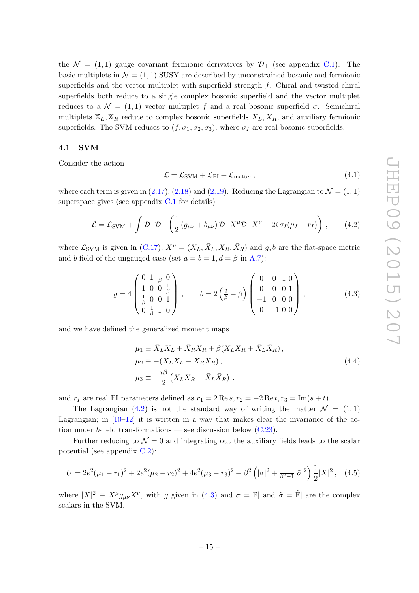the  $\mathcal{N} = (1, 1)$  gauge covariant fermionic derivatives by  $\mathcal{D}_{\pm}$  (see appendix [C.1\)](#page-27-1). The basic multiplets in  $\mathcal{N} = (1, 1)$  SUSY are described by unconstrained bosonic and fermionic superfields and the vector multiplet with superfield strength  $f$ . Chiral and twisted chiral superfields both reduce to a single complex bosonic superfield and the vector multiplet reduces to a  $\mathcal{N} = (1, 1)$  vector multiplet f and a real bosonic superfield  $\sigma$ . Semichiral multiplets  $X_L, X_R$  reduce to complex bosonic superfields  $X_L, X_R$ , and auxiliary fermionic superfields. The SVM reduces to  $(f, \sigma_1, \sigma_2, \sigma_3)$ , where  $\sigma_I$  are real bosonic superfields.

#### <span id="page-15-0"></span>4.1 SVM

Consider the action

<span id="page-15-1"></span>
$$
\mathcal{L} = \mathcal{L}_{\text{SVM}} + \mathcal{L}_{\text{FI}} + \mathcal{L}_{\text{matter}}\,,\tag{4.1}
$$

where each term is given in [\(2.17\)](#page-7-6), [\(2.18\)](#page-7-7) and [\(2.19\)](#page-7-8). Reducing the Lagrangian to  $\mathcal{N} = (1, 1)$ superspace gives (see appendix [C.1](#page-27-1) for details)

$$
\mathcal{L} = \mathcal{L}_{\text{SVM}} + \int \mathcal{D}_+ \mathcal{D}_- \left( \frac{1}{2} \left( g_{\mu\nu} + b_{\mu\nu} \right) \mathcal{D}_+ X^\mu \mathcal{D}_- X^\nu + 2i \sigma_I (\mu_I - r_I) \right), \tag{4.2}
$$

where  $\mathcal{L}_{\text{SVM}}$  is given in [\(C.17\)](#page-28-0),  $X^{\mu} = (X_L, \bar{X}_L, X_R, \bar{X}_R)$  and  $g, b$  are the flat-space metric and b-field of the ungauged case (set  $a = b = 1, d = \beta$  in [A.7\)](#page-24-2):

<span id="page-15-2"></span>
$$
g = 4 \begin{pmatrix} 0 & 1 & \frac{1}{\beta} & 0 \\ 1 & 0 & 0 & \frac{1}{\beta} \\ \frac{1}{\beta} & 0 & 0 & 1 \\ 0 & \frac{1}{\beta} & 1 & 0 \end{pmatrix}, \qquad b = 2 \begin{pmatrix} 2 \\ \frac{1}{\beta} - \beta \end{pmatrix} \begin{pmatrix} 0 & 0 & 1 & 0 \\ 0 & 0 & 0 & 1 \\ -1 & 0 & 0 & 0 \\ 0 & -1 & 0 & 0 \end{pmatrix}, \qquad (4.3)
$$

and we have defined the generalized moment maps

$$
\mu_1 \equiv \bar{X}_L X_L + \bar{X}_R X_R + \beta (X_L X_R + \bar{X}_L \bar{X}_R),
$$
  
\n
$$
\mu_2 \equiv -(\bar{X}_L X_L - \bar{X}_R X_R),
$$
  
\n
$$
\mu_3 \equiv -\frac{i\beta}{2} (X_L X_R - \bar{X}_L \bar{X}_R),
$$
\n(4.4)

and  $r_I$  are real FI parameters defined as  $r_1 = 2 \text{Re } s, r_2 = -2 \text{Re } t, r_3 = \text{Im}(s + t)$ .

The Lagrangian [\(4.2\)](#page-15-1) is not the standard way of writing the matter  $\mathcal{N} = (1, 1)$ Lagrangian; in  $[10-12]$  $[10-12]$  it is written in a way that makes clear the invariance of the action under b-field transformations — see discussion below  $(C.23)$ .

Further reducing to  $\mathcal{N} = 0$  and integrating out the auxiliary fields leads to the scalar potential (see appendix [C.2\)](#page-30-0):

$$
U = 2e^2(\mu_1 - r_1)^2 + 2e^2(\mu_2 - r_2)^2 + 4e^2(\mu_3 - r_3)^2 + \beta^2\left(|\sigma|^2 + \frac{1}{\beta^2 - 1}|\tilde{\sigma}|^2\right)\frac{1}{2}|X|^2, \quad (4.5)
$$

where  $|X|^2 \equiv X^{\mu} g_{\mu\nu} X^{\nu}$ , with g given in [\(4.3\)](#page-15-2) and  $\sigma = \mathbb{F}$  and  $\tilde{\sigma} = \tilde{\mathbb{F}}$  are the complex scalars in the SVM.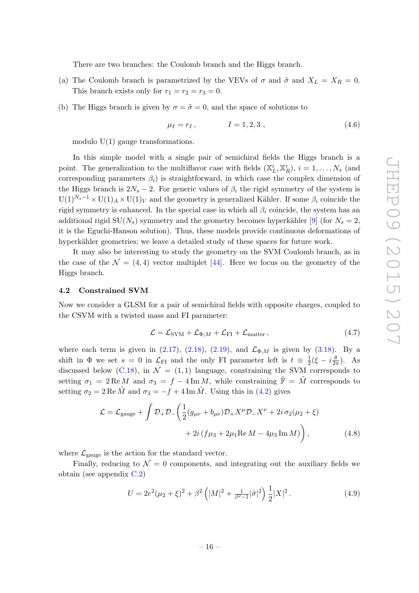There are two branches: the Coulomb branch and the Higgs branch.

- (a) The Coulomb branch is parametrized by the VEVs of  $\sigma$  and  $\tilde{\sigma}$  and  $X_L = X_R = 0$ . This branch exists only for  $r_1 = r_2 = r_3 = 0$ .
- (b) The Higgs branch is given by  $\sigma = \tilde{\sigma} = 0$ , and the space of solutions to

$$
\mu_I = r_I, \qquad I = 1, 2, 3 \tag{4.6}
$$

modulo  $U(1)$  gauge transformations.

In this simple model with a single pair of semichiral fields the Higgs branch is a point. The generalization to the multiflavor case with fields  $(\mathbb{X}_L^i, \mathbb{X}_R^i)$ ,  $i = 1, \ldots, N_s$  (and corresponding parameters  $\beta_i$ ) is straightforward, in which case the complex dimension of the Higgs branch is  $2N_s - 2$ . For generic values of  $\beta_i$  the rigid symmetry of the system is  $U(1)^{N_s-1} \times U(1)_A \times U(1)_V$  and the geometry is generalized Kähler. If some  $\beta_i$  coincide the rigid symmetry is enhanced. In the special case in which all  $\beta_i$  coincide, the system has an additional rigid  $SU(N<sub>s</sub>)$  symmetry and the geometry becomes hyperkähler [\[9\]](#page-32-5) (for  $N<sub>s</sub> = 2$ , it is the Eguchi-Hanson solution). Thus, these models provide continuous deformations of hyperkähler geometries; we leave a detailed study of these spaces for future work.

It may also be interesting to study the geometry on the SVM Coulomb branch, as in the case of the  $\mathcal{N} = (4, 4)$  vector multiplet [\[44\]](#page-34-7). Here we focus on the geometry of the Higgs branch.

#### <span id="page-16-0"></span>4.2 Constrained SVM

Now we consider a GLSM for a pair of semichiral fields with opposite charges, coupled to the CSVM with a twisted mass and FI parameter:

<span id="page-16-1"></span>
$$
\mathcal{L} = \mathcal{L}_{\text{SVM}} + \mathcal{L}_{\Phi;M} + \mathcal{L}_{\text{FI}} + \mathcal{L}_{\text{matter}}\,,\tag{4.7}
$$

where each term is given in [\(2.17\)](#page-7-6), [\(2.18\)](#page-7-7), [\(2.19\)](#page-7-8), and  $\mathcal{L}_{\Phi;M}$  is given by [\(3.18\)](#page-11-0). By a shift in  $\Phi$  we set  $s = 0$  in  $\mathcal{L}_{FI}$  and the only FI parameter left is  $t \equiv \frac{1}{2}$  $\frac{1}{2}(\xi - i\frac{\theta}{2i})$  $\frac{\theta}{2\pi}$ ). As discussed below [\(C.18\)](#page-29-1), in  $\mathcal{N} = (1, 1)$  language, constraining the SVM corresponds to setting  $\sigma_1 = 2 \text{Re } M$  and  $\sigma_3 = f - 4 \text{Im } M$ , while constraining  $\tilde{\mathbb{F}} = \tilde{M}$  corresponds to setting  $\sigma_2 = 2 \text{Re } \tilde{M}$  and  $\sigma_3 = -f + 4 \text{Im } \tilde{M}$ . Using this in [\(4.2\)](#page-15-1) gives

$$
\mathcal{L} = \mathcal{L}_{\text{gauge}} + \int \mathcal{D}_{+} \mathcal{D}_{-} \left( \frac{1}{2} (g_{\mu\nu} + b_{\mu\nu}) \mathcal{D}_{+} X^{\mu} \mathcal{D}_{-} X^{\nu} + 2i \sigma_{2} (\mu_{2} + \xi) + 2i (f \mu_{3} + 2\mu_{1} \text{Re } M - 4\mu_{3} \text{Im } M) \right), \tag{4.8}
$$

where  $\mathcal{L}_{\text{gauge}}$  is the action for the standard vector.

Finally, reducing to  $\mathcal{N} = 0$  components, and integrating out the auxiliary fields we obtain (see appendix [C.2\)](#page-30-0)

$$
U = 2e^2(\mu_2 + \xi)^2 + \beta^2 \left( |M|^2 + \frac{1}{\beta^2 - 1} |\tilde{\sigma}|^2 \right) \frac{1}{2} |X|^2.
$$
 (4.9)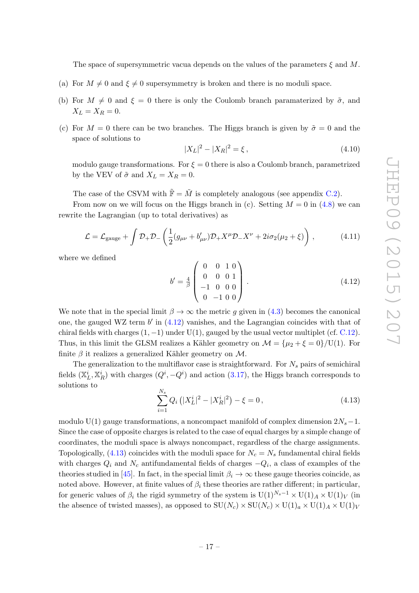The space of supersymmetric vacua depends on the values of the parameters  $\xi$  and M.

- (a) For  $M \neq 0$  and  $\xi \neq 0$  supersymmetry is broken and there is no moduli space.
- (b) For  $M \neq 0$  and  $\xi = 0$  there is only the Coulomb branch paramaterized by  $\tilde{\sigma}$ , and  $X_L = X_R = 0.$
- (c) For  $M = 0$  there can be two branches. The Higgs branch is given by  $\tilde{\sigma} = 0$  and the space of solutions to

$$
|X_L|^2 - |X_R|^2 = \xi, \tag{4.10}
$$

modulo gauge transformations. For  $\xi = 0$  there is also a Coulomb branch, parametrized by the VEV of  $\tilde{\sigma}$  and  $X_L = X_R = 0$ .

The case of the CSVM with  $\tilde{\mathbb{F}} = \tilde{M}$  is completely analogous (see appendix [C.2\)](#page-30-0).

From now on we will focus on the Higgs branch in (c). Setting  $M = 0$  in [\(4.8\)](#page-16-1) we can rewrite the Lagrangian (up to total derivatives) as

$$
\mathcal{L} = \mathcal{L}_{\text{gauge}} + \int \mathcal{D}_{+} \mathcal{D}_{-} \left( \frac{1}{2} (g_{\mu\nu} + b'_{\mu\nu}) \mathcal{D}_{+} X^{\mu} \mathcal{D}_{-} X^{\nu} + 2i \sigma_{2} (\mu_{2} + \xi) \right), \tag{4.11}
$$

where we defined

<span id="page-17-0"></span>
$$
b' = \frac{4}{\beta} \begin{pmatrix} 0 & 0 & 1 & 0 \\ 0 & 0 & 0 & 1 \\ -1 & 0 & 0 & 0 \\ 0 & -1 & 0 & 0 \end{pmatrix} . \tag{4.12}
$$

We note that in the special limit  $\beta \to \infty$  the metric g given in [\(4.3\)](#page-15-2) becomes the canonical one, the gauged WZ term  $b'$  in  $(4.12)$  vanishes, and the Lagrangian coincides with that of chiral fields with charges  $(1, -1)$  under U(1), gauged by the usual vector multiplet (cf. [C.12\)](#page-28-1). Thus, in this limit the GLSM realizes a Kähler geometry on  $\mathcal{M} = {\mu_2 + \xi = 0} / U(1)$ . For finite  $\beta$  it realizes a generalized Kähler geometry on M.

The generalization to the multiflavor case is straightforward. For  $N_s$  pairs of semichiral fields  $(\mathbb{X}_{L}^{i}, \mathbb{X}_{R}^{i})$  with charges  $(Q^{i}, -Q^{i})$  and action  $(3.17)$ , the Higgs branch corresponds to solutions to  $\mathbf{v}$ 

<span id="page-17-1"></span>
$$
\sum_{i=1}^{N_s} Q_i \left( |X_L^i|^2 - |X_R^i|^2 \right) - \xi = 0, \qquad (4.13)
$$

modulo U(1) gauge transformations, a noncompact manifold of complex dimension  $2N_s-1$ . Since the case of opposite charges is related to the case of equal charges by a simple change of coordinates, the moduli space is always noncompact, regardless of the charge assignments. Topologically, [\(4.13\)](#page-17-1) coincides with the moduli space for  $N_c = N_s$  fundamental chiral fields with charges  $Q_i$  and  $N_c$  antifundamental fields of charges  $-Q_i$ , a class of examples of the theories studied in [\[45\]](#page-34-8). In fact, in the special limit  $\beta_i \to \infty$  these gauge theories coincide, as noted above. However, at finite values of  $\beta_i$  these theories are rather different; in particular, for generic values of  $\beta_i$  the rigid symmetry of the system is U(1)<sup>N<sub>s</sub>-1</sup> × U(1)<sub>A</sub> × U(1)<sub>V</sub> (in the absence of twisted masses), as opposed to  $SU(N_c) \times SU(N_c) \times U(1)_a \times U(1)_A \times U(1)_V$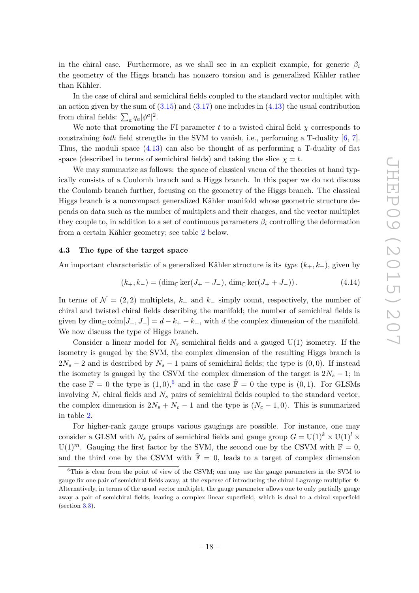in the chiral case. Furthermore, as we shall see in an explicit example, for generic  $\beta_i$ the geometry of the Higgs branch has nonzero torsion and is generalized Kähler rather than Kähler.

In the case of chiral and semichiral fields coupled to the standard vector multiplet with an action given by the sum of  $(3.15)$  and  $(3.17)$  one includes in  $(4.13)$  the usual contribution from chiral fields:  $\sum_a q_a |\phi^a|^2$ .

We note that promoting the FI parameter t to a twisted chiral field  $\chi$  corresponds to constraining both field strengths in the SVM to vanish, i.e., performing a T-duality  $[6, 7]$  $[6, 7]$ . Thus, the moduli space [\(4.13\)](#page-17-1) can also be thought of as performing a T-duality of flat space (described in terms of semichiral fields) and taking the slice  $\chi = t$ .

We may summarize as follows: the space of classical vacua of the theories at hand typically consists of a Coulomb branch and a Higgs branch. In this paper we do not discuss the Coulomb branch further, focusing on the geometry of the Higgs branch. The classical Higgs branch is a noncompact generalized Kähler manifold whose geometric structure depends on data such as the number of multiplets and their charges, and the vector multiplet they couple to, in addition to a set of continuous parameters  $\beta_i$  controlling the deformation from a certain Kähler geometry; see table [2](#page-19-1) below.

#### <span id="page-18-0"></span>4.3 The type of the target space

An important characteristic of a generalized Kähler structure is its type  $(k_{+}, k_{-})$ , given by

$$
(k_{+}, k_{-}) = (\dim_{\mathbb{C}} \ker(J_{+} - J_{-}), \dim_{\mathbb{C}} \ker(J_{+} + J_{-})) . \tag{4.14}
$$

In terms of  $\mathcal{N} = (2, 2)$  multiplets,  $k_{+}$  and  $k_{-}$  simply count, respectively, the number of chiral and twisted chiral fields describing the manifold; the number of semichiral fields is given by  $\dim_{\mathbb{C}} \text{coim}[J_+, J_-] = d - k_+ - k_-$ , with d the complex dimension of the manifold. We now discuss the type of Higgs branch.

Consider a linear model for  $N_s$  semichiral fields and a gauged  $U(1)$  isometry. If the isometry is gauged by the SVM, the complex dimension of the resulting Higgs branch is  $2N_s - 2$  and is described by  $N_s - 1$  pairs of semichiral fields; the type is  $(0, 0)$ . If instead the isometry is gauged by the CSVM the complex dimension of the target is  $2N_s - 1$ ; in the case  $\mathbb{F} = 0$  the type is  $(1,0)$ ,  $\delta$  and in the case  $\mathbb{F} = 0$  the type is  $(0,1)$ . For GLSMs involving  $N_c$  chiral fields and  $N_s$  pairs of semichiral fields coupled to the standard vector, the complex dimension is  $2N_s + N_c - 1$  and the type is  $(N_c - 1, 0)$ . This is summarized in table [2.](#page-19-1)

For higher-rank gauge groups various gaugings are possible. For instance, one may consider a GLSM with  $N_s$  pairs of semichiral fields and gauge group  $G = U(1)^k \times U(1)^l \times$  $U(1)^m$ . Gauging the first factor by the SVM, the second one by the CSVM with  $\mathbb{F} = 0$ , and the third one by the CSVM with  $\mathbb{F} = 0$ , leads to a target of complex dimension

<span id="page-18-1"></span><sup>&</sup>lt;sup>6</sup>This is clear from the point of view of the CSVM; one may use the gauge parameters in the SVM to gauge-fix one pair of semichiral fields away, at the expense of introducing the chiral Lagrange multiplier Φ. Alternatively, in terms of the usual vector multiplet, the gauge parameter allows one to only partially gauge away a pair of semichiral fields, leaving a complex linear superfield, which is dual to a chiral superfield (section [3.3\)](#page-12-0).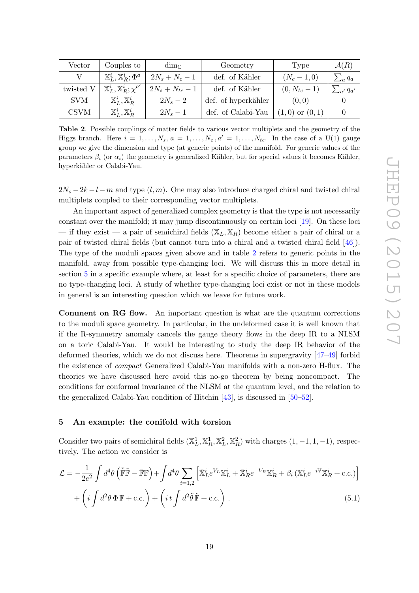| Vector      | Couples to<br>$\dim_{\mathbb{C}}$                   |                     | Geometry            | Type               | $\mathcal{A}(R)$   |
|-------------|-----------------------------------------------------|---------------------|---------------------|--------------------|--------------------|
|             | $\mathbb{X}_{L}^{i}, \mathbb{X}_{R}^{i}; \Phi^{a}$  | $2N_s + N_c - 1$    | def. of Kähler      | $(N_c - 1, 0)$     | $\sum_a q_a$       |
| twisted V   | $\mathbb{X}_{L}^{i}, \mathbb{X}_{R}^{i}; \chi^{a'}$ | $2N_s + N_{tc} - 1$ | def. of Kähler      | $(0, N_{tc}-1)$    | $\sum_{a'} q_{a'}$ |
| <b>SVM</b>  | $\mathbb{X}_{L}^{i}, \mathbb{X}_{R}^{i}$            | $2N_s-2$            | def. of hyperkähler | (0,0)              |                    |
| <b>CSVM</b> | $\mathbb{X}_{L}^i, \mathbb{X}_{R}^i$                | $2N_s-1$            | def. of Calabi-Yau  | $(1,0)$ or $(0,1)$ |                    |

<span id="page-19-1"></span>Table 2. Possible couplings of matter fields to various vector multiplets and the geometry of the Higgs branch. Here  $i = 1, \ldots, N_s, a = 1, \ldots, N_c, a' = 1, \ldots, N_{tc}$ . In the case of a U(1) gauge group we give the dimension and type (at generic points) of the manifold. For generic values of the parameters  $\beta_i$  (or  $\alpha_i$ ) the geometry is generalized Kähler, but for special values it becomes Kähler, hyperkähler or Calabi-Yau.

 $2N_s - 2k - l - m$  and type  $(l, m)$ . One may also introduce charged chiral and twisted chiral multiplets coupled to their corresponding vector multiplets.

An important aspect of generalized complex geometry is that the type is not necessarily constant over the manifold; it may jump discontinuously on certain loci [\[19\]](#page-33-1). On these loci — if they exist — a pair of semichiral fields  $(X_L, X_R)$  become either a pair of chiral or a pair of twisted chiral fields (but cannot turn into a chiral and a twisted chiral field [\[46\]](#page-34-9)). The type of the moduli spaces given above and in table [2](#page-19-1) refers to generic points in the manifold, away from possible type-changing loci. We will discuss this in more detail in section [5](#page-19-0) in a specific example where, at least for a specific choice of parameters, there are no type-changing loci. A study of whether type-changing loci exist or not in these models in general is an interesting question which we leave for future work.

Comment on RG flow. An important question is what are the quantum corrections to the moduli space geometry. In particular, in the undeformed case it is well known that if the R-symmetry anomaly cancels the gauge theory flows in the deep IR to a NLSM on a toric Calabi-Yau. It would be interesting to study the deep IR behavior of the deformed theories, which we do not discuss here. Theorems in supergravity [\[47–](#page-34-10)[49\]](#page-34-11) forbid the existence of compact Generalized Calabi-Yau manifolds with a non-zero H-flux. The theories we have discussed here avoid this no-go theorem by being noncompact. The conditions for conformal invariance of the NLSM at the quantum level, and the relation to the generalized Calabi-Yau condition of Hitchin [\[43\]](#page-34-6), is discussed in [\[50](#page-34-12)[–52\]](#page-34-13).

#### <span id="page-19-0"></span>5 An example: the conifold with torsion

Consider two pairs of semichiral fields  $(\mathbb{X}_L^1, \mathbb{X}_R^1, \mathbb{X}_L^2, \mathbb{X}_R^2)$  with charges  $(1, -1, 1, -1)$ , respectively. The action we consider is

<span id="page-19-2"></span>
$$
\mathcal{L} = -\frac{1}{2e^2} \int d^4\theta \left( \tilde{\mathbb{F}} \tilde{\mathbb{F}} - \tilde{\mathbb{F}} \mathbb{F} \right) + \int d^4\theta \sum_{i=1,2} \left[ \tilde{\mathbb{X}}_L^i e^{V_L} \mathbb{X}_L^i + \tilde{\mathbb{X}}_R^i e^{-V_R} \mathbb{X}_R^i + \beta_i \left( \mathbb{X}_L^i e^{-i\mathbb{V}} \mathbb{X}_R^i + \text{c.c.} \right) \right] + \left( i \int d^2\theta \, \Phi \, \mathbb{F} + \text{c.c.} \right) + \left( i \int d^2\tilde{\theta} \, \tilde{\mathbb{F}} + \text{c.c.} \right). \tag{5.1}
$$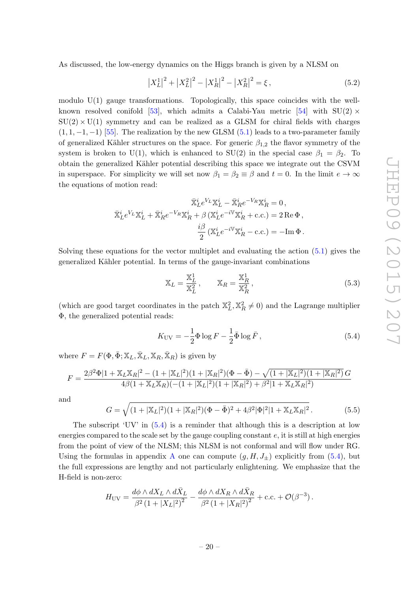As discussed, the low-energy dynamics on the Higgs branch is given by a NLSM on

$$
\left|X_L^1\right|^2 + \left|X_L^2\right|^2 - \left|X_R^1\right|^2 - \left|X_R^2\right|^2 = \xi\,,\tag{5.2}
$$

modulo U(1) gauge transformations. Topologically, this space coincides with the well-known resolved conifold [\[53\]](#page-34-14), which admits a Calabi-Yau metric [\[54\]](#page-34-15) with  $SU(2) \times$  $SU(2) \times U(1)$  symmetry and can be realized as a GLSM for chiral fields with charges  $(1, 1, -1, -1)$  [\[55\]](#page-34-16). The realization by the new GLSM [\(5.1\)](#page-19-2) leads to a two-parameter family of generalized Kähler structures on the space. For generic  $\beta_{1,2}$  the flavor symmetry of the system is broken to U(1), which is enhanced to SU(2) in the special case  $\beta_1 = \beta_2$ . To obtain the generalized Kähler potential describing this space we integrate out the CSVM in superspace. For simplicity we will set now  $\beta_1 = \beta_2 \equiv \beta$  and  $t = 0$ . In the limit  $e \to \infty$ the equations of motion read:

$$
\overline{\mathbf{X}}_L^i e^{V_L} \mathbf{X}_L^i - \overline{\mathbf{X}}_R^i e^{-V_R} \mathbf{X}_R^i = 0,
$$
  

$$
\overline{\mathbf{X}}_L^i e^{V_L} \mathbf{X}_L^i + \overline{\mathbf{X}}_R^i e^{-V_R} \mathbf{X}_R^i + \beta (\mathbf{X}_L^i e^{-i\mathbf{V}} \mathbf{X}_R^i + \text{c.c.}) = 2 \operatorname{Re} \Phi,
$$
  

$$
\frac{i\beta}{2} (\mathbf{X}_L^i e^{-i\mathbf{V}} \mathbf{X}_R^i - \text{c.c.}) = -\operatorname{Im} \Phi.
$$

Solving these equations for the vector multiplet and evaluating the action  $(5.1)$  gives the generalized Kähler potential. In terms of the gauge-invariant combinations

$$
\mathbb{X}_{L} = \frac{\mathbb{X}_{L}^{1}}{\mathbb{X}_{L}^{2}}, \qquad \mathbb{X}_{R} = \frac{\mathbb{X}_{R}^{1}}{\mathbb{X}_{R}^{2}},
$$
\n(5.3)

(which are good target coordinates in the patch  $\mathbb{X}_L^2, \mathbb{X}_R^2 \neq 0$ ) and the Lagrange multiplier Φ, the generalized potential reads:

<span id="page-20-0"></span>
$$
K_{\rm UV} = -\frac{1}{2}\Phi \log F - \frac{1}{2}\bar{\Phi}\log \bar{F},\qquad(5.4)
$$

where  $F = F(\Phi, \bar{\Phi}; \mathbb{X}_L, \bar{\mathbb{X}}_L, \mathbb{X}_R, \bar{\mathbb{X}}_R)$  is given by

$$
F = \frac{2\beta^2 \Phi |1 + \mathbb{X}_L \mathbb{X}_R|^2 - (1 + |\mathbb{X}_L|^2)(1 + |\mathbb{X}_R|^2)(\Phi - \bar{\Phi}) - \sqrt{(1 + |\mathbb{X}_L|^2)(1 + |\mathbb{X}_R|^2)} G}{4\beta(1 + \mathbb{X}_L \mathbb{X}_R)(-(1 + |\mathbb{X}_L|^2)(1 + |\mathbb{X}_R|^2) + \beta^2|1 + \mathbb{X}_L \mathbb{X}_R|^2)}
$$

and

$$
G = \sqrt{(1+|\mathbb{X}_L|^2)(1+|\mathbb{X}_R|^2)(\Phi - \bar{\Phi})^2 + 4\beta^2 |\Phi|^2 |1 + \mathbb{X}_L \mathbb{X}_R|^2}.
$$
 (5.5)

The subscript 'UV' in  $(5.4)$  is a reminder that although this is a description at low energies compared to the scale set by the gauge coupling constant  $e$ , it is still at high energies from the point of view of the NLSM; this NLSM is not conformal and will flow under RG. Using the formulas in appendix [A](#page-22-0) one can compute  $(g, H, J_{\pm})$  explicitly from [\(5.4\)](#page-20-0), but the full expressions are lengthy and not particularly enlightening. We emphasize that the H-field is non-zero:

$$
H_{\rm UV} = \frac{d\phi\wedge dX_L\wedge d\bar{X}_L}{\beta^2\left(1+|X_L|^2\right)^2} - \frac{d\phi\wedge dX_R\wedge d\bar{X}_R}{\beta^2\left(1+|X_R|^2\right)^2} + \mathrm{c.c.} + \mathcal{O}(\beta^{-3})\,.
$$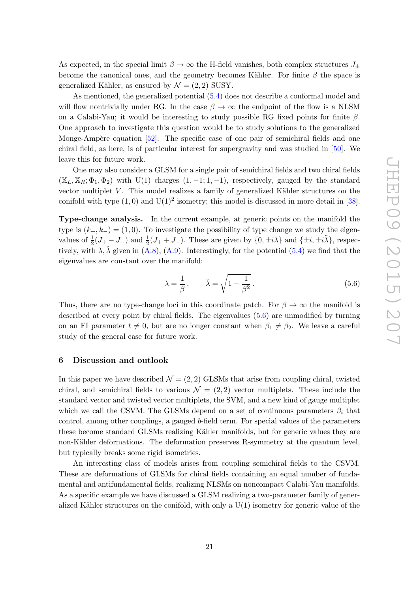As expected, in the special limit  $\beta \to \infty$  the H-field vanishes, both complex structures  $J_{\pm}$ become the canonical ones, and the geometry becomes Kähler. For finite  $\beta$  the space is generalized Kähler, as ensured by  $\mathcal{N} = (2, 2)$  SUSY.

As mentioned, the generalized potential [\(5.4\)](#page-20-0) does not describe a conformal model and will flow nontrivially under RG. In the case  $\beta \to \infty$  the endpoint of the flow is a NLSM on a Calabi-Yau; it would be interesting to study possible RG fixed points for finite  $\beta$ . One approach to investigate this question would be to study solutions to the generalized Monge-Ampère equation  $[52]$ . The specific case of one pair of semichiral fields and one chiral field, as here, is of particular interest for supergravity and was studied in [\[50\]](#page-34-12). We leave this for future work.

One may also consider a GLSM for a single pair of semichiral fields and two chiral fields  $(\mathbb{X}_L, \mathbb{X}_R; \Phi_1, \Phi_2)$  with U(1) charges  $(1, -1; 1, -1)$ , respectively, gauged by the standard vector multiplet  $V$ . This model realizes a family of generalized Kähler structures on the conifold with type  $(1,0)$  and  $U(1)^2$  isometry; this model is discussed in more detail in [\[38\]](#page-34-1).

Type-change analysis. In the current example, at generic points on the manifold the type is  $(k_{+}, k_{-}) = (1, 0)$ . To investigate the possibility of type change we study the eigenvalues of  $\frac{1}{2}(J_+ - J_-)$  and  $\frac{1}{2}(J_+ + J_-)$ . These are given by  $\{0, \pm i\lambda\}$  and  $\{\pm i, \pm i\tilde{\lambda}\}\)$ , respectively, with  $\lambda$ ,  $\lambda$  given in [\(A.8\)](#page-24-3), [\(A.9\)](#page-24-4). Interestingly, for the potential [\(5.4\)](#page-20-0) we find that the eigenvalues are constant over the manifold:

<span id="page-21-1"></span>
$$
\lambda = \frac{1}{\beta}, \qquad \tilde{\lambda} = \sqrt{1 - \frac{1}{\beta^2}}.
$$
\n(5.6)

Thus, there are no type-change loci in this coordinate patch. For  $\beta \to \infty$  the manifold is described at every point by chiral fields. The eigenvalues [\(5.6\)](#page-21-1) are unmodified by turning on an FI parameter  $t \neq 0$ , but are no longer constant when  $\beta_1 \neq \beta_2$ . We leave a careful study of the general case for future work.

#### <span id="page-21-0"></span>6 Discussion and outlook

In this paper we have described  $\mathcal{N} = (2, 2)$  GLSMs that arise from coupling chiral, twisted chiral, and semichiral fields to various  $\mathcal{N} = (2, 2)$  vector multiplets. These include the standard vector and twisted vector multiplets, the SVM, and a new kind of gauge multiplet which we call the CSVM. The GLSMs depend on a set of continuous parameters  $\beta_i$  that control, among other couplings, a gauged b-field term. For special values of the parameters these become standard GLSMs realizing Kähler manifolds, but for generic values they are non-Kähler deformations. The deformation preserves R-symmetry at the quantum level, but typically breaks some rigid isometries.

An interesting class of models arises from coupling semichiral fields to the CSVM. These are deformations of GLSMs for chiral fields containing an equal number of fundamental and antifundamental fields, realizing NLSMs on noncompact Calabi-Yau manifolds. As a specific example we have discussed a GLSM realizing a two-parameter family of generalized Kähler structures on the conifold, with only a  $U(1)$  isometry for generic value of the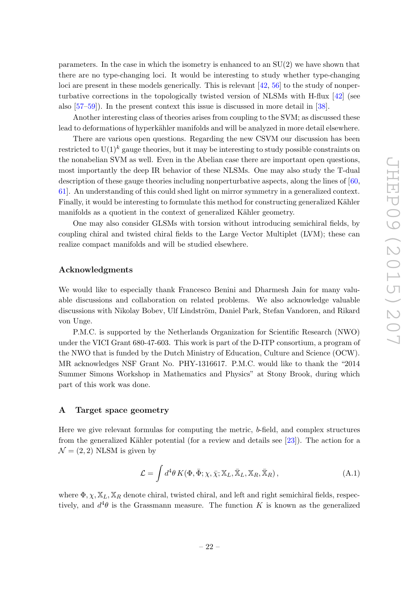parameters. In the case in which the isometry is enhanced to an SU(2) we have shown that there are no type-changing loci. It would be interesting to study whether type-changing loci are present in these models generically. This is relevant  $[42, 56]$  $[42, 56]$  to the study of nonperturbative corrections in the topologically twisted version of NLSMs with H-flux [\[42\]](#page-34-5) (see also [\[57–](#page-35-1)[59\]](#page-35-2)). In the present context this issue is discussed in more detail in [\[38\]](#page-34-1).

Another interesting class of theories arises from coupling to the SVM; as discussed these lead to deformations of hyperkähler manifolds and will be analyzed in more detail elsewhere.

There are various open questions. Regarding the new CSVM our discussion has been restricted to  $U(1)^k$  gauge theories, but it may be interesting to study possible constraints on the nonabelian SVM as well. Even in the Abelian case there are important open questions, most importantly the deep IR behavior of these NLSMs. One may also study the T-dual description of these gauge theories including nonperturbative aspects, along the lines of [\[60,](#page-35-3) [61\]](#page-35-4). An understanding of this could shed light on mirror symmetry in a generalized context. Finally, it would be interesting to formulate this method for constructing generalized Kähler manifolds as a quotient in the context of generalized Kähler geometry.

One may also consider GLSMs with torsion without introducing semichiral fields, by coupling chiral and twisted chiral fields to the Large Vector Multiplet (LVM); these can realize compact manifolds and will be studied elsewhere.

#### Acknowledgments

We would like to especially thank Francesco Benini and Dharmesh Jain for many valuable discussions and collaboration on related problems. We also acknowledge valuable discussions with Nikolay Bobev, Ulf Lindström, Daniel Park, Stefan Vandoren, and Rikard von Unge.

P.M.C. is supported by the Netherlands Organization for Scientific Research (NWO) under the VICI Grant 680-47-603. This work is part of the D-ITP consortium, a program of the NWO that is funded by the Dutch Ministry of Education, Culture and Science (OCW). MR acknowledges NSF Grant No. PHY-1316617. P.M.C. would like to thank the "2014 Summer Simons Workshop in Mathematics and Physics" at Stony Brook, during which part of this work was done.

#### <span id="page-22-0"></span>A Target space geometry

Here we give relevant formulas for computing the metric, b-field, and complex structures from the generalized Kähler potential (for a review and details see [\[23\]](#page-33-5)). The action for a  $\mathcal{N} = (2, 2)$  NLSM is given by

$$
\mathcal{L} = \int d^4\theta \, K(\Phi, \bar{\Phi}; \chi, \bar{\chi}; \mathbb{X}_L, \bar{\mathbb{X}}_L, \mathbb{X}_R, \bar{\mathbb{X}}_R), \tag{A.1}
$$

where  $\Phi$ ,  $\chi$ ,  $\mathbb{X}_L$ ,  $\mathbb{X}_R$  denote chiral, twisted chiral, and left and right semichiral fields, respectively, and  $d^4\theta$  is the Grassmann measure. The function K is known as the generalized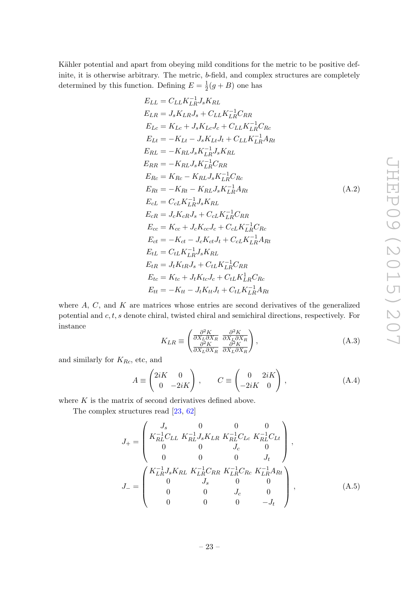Kähler potential and apart from obeying mild conditions for the metric to be positive definite, it is otherwise arbitrary. The metric, b-field, and complex structures are completely determined by this function. Defining  $E = \frac{1}{2}$  $\frac{1}{2}(g+B)$  one has

$$
E_{LL} = C_{LL}K_{LR}^{-1}J_sK_{RL}
$$
  
\n
$$
E_{LR} = J_sK_{LR}J_s + C_{LL}K_{LR}^{-1}C_{RR}
$$
  
\n
$$
E_{Lc} = K_{Lc} + J_sK_{Lc}J_c + C_{LL}K_{LR}^{-1}C_{Rc}
$$
  
\n
$$
E_{Lt} = -K_{Lt} - J_sK_{Lt}J_t + C_{LL}K_{LR}^{-1}A_{Rt}
$$
  
\n
$$
E_{RL} = -K_{RL}J_sK_{LR}^{-1}J_sK_{RL}
$$
  
\n
$$
E_{RR} = -K_{RL}J_sK_{LR}^{-1}C_{RR}
$$
  
\n
$$
E_{Rc} = K_{Rc} - K_{RL}J_sK_{LR}^{-1}C_{Rc}
$$
  
\n
$$
E_{RL} = -K_{RL} - K_{RL}J_sK_{LR}^{-1}A_{Rt}
$$
  
\n
$$
E_{cL} = C_{cL}K_{LR}^{-1}J_sK_{RL}
$$
  
\n
$$
E_{cR} = J_cK_{cR}J_s + C_{cL}K_{LR}^{-1}C_{RR}
$$
  
\n
$$
E_{cc} = K_{cc} + J_cK_{cc}J_c + C_{cL}K_{LR}^{-1}C_{Rc}
$$
  
\n
$$
E_{ct} = -K_{ct} - J_cK_{ct}J_t + C_{cL}K_{LR}^{-1}A_{Rt}
$$
  
\n
$$
E_{tL} = C_{tL}K_{LR}^{-1}J_sK_{RL}
$$
  
\n
$$
E_{tR} = J_tK_{tR}J_s + C_{tL}K_{LR}^{-1}C_{RR}
$$
  
\n
$$
E_{tc} = K_{tc} + J_tK_{tc}J_c + C_{tL}K_{LR}^{-1}C_{Rc}
$$
  
\n
$$
E_{tt} = -K_{tt} - J_tK_{tt}J_t + C_{tL}K_{LR}^{-1}C_{RR}
$$

where  $A, C$ , and  $K$  are matrices whose entries are second derivatives of the generalized potential and  $c, t, s$  denote chiral, twisted chiral and semichiral directions, respectively. For instance

$$
K_{LR} \equiv \begin{pmatrix} \frac{\partial^2 K}{\partial X_L \partial X_R} & \frac{\partial^2 K}{\partial X_L \partial \bar{X}_R} \\ \frac{\partial^2 K}{\partial X_L \partial X_R} & \frac{\partial^2 K}{\partial X_L \partial \bar{X}_R} \end{pmatrix},\tag{A.3}
$$

and similarly for  $K_{Rc}$ , etc, and

$$
A \equiv \begin{pmatrix} 2iK & 0 \\ 0 & -2iK \end{pmatrix}, \qquad C \equiv \begin{pmatrix} 0 & 2iK \\ -2iK & 0 \end{pmatrix}, \tag{A.4}
$$

where  $K$  is the matrix of second derivatives defined above.

The complex structures read [\[23,](#page-33-5) [62\]](#page-35-5)

<span id="page-23-0"></span>
$$
J_{+} = \begin{pmatrix} J_s & 0 & 0 & 0 \\ K_{RL}^{-1}C_{LL} & K_{RL}^{-1}J_sK_{LR} & K_{RL}^{-1}C_{Lc} & K_{RL}^{-1}C_{Lt} \\ 0 & 0 & J_c & 0 \\ 0 & 0 & 0 & J_t \end{pmatrix},
$$

$$
J_{-} = \begin{pmatrix} K_{LR}^{-1}J_sK_{RL} & K_{LR}^{-1}C_{RR} & K_{LR}^{-1}C_{Rc} & K_{LR}^{-1}A_{Rt} \\ 0 & J_s & 0 & 0 \\ 0 & 0 & J_c & 0 \\ 0 & 0 & 0 & -J_t \end{pmatrix}, \qquad (A.5)
$$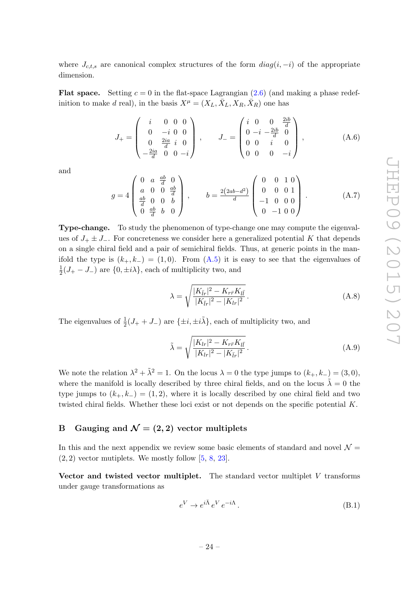where  $J_{c,t,s}$  are canonical complex structures of the form  $diag(i, -i)$  of the appropriate dimension.

**Flat space.** Setting  $c = 0$  in the flat-space Lagrangian  $(2.6)$  (and making a phase redefinition to make d real), in the basis  $X^{\mu} = (X_L, \bar{X}_L, X_R, \bar{X}_R)$  one has

<span id="page-24-1"></span>
$$
J_{+} = \begin{pmatrix} i & 0 & 0 & 0 \\ 0 & -i & 0 & 0 \\ 0 & \frac{2ia}{d} & i & 0 \\ -\frac{2ia}{d} & 0 & 0 & -i \end{pmatrix}, \qquad J_{-} = \begin{pmatrix} i & 0 & 0 & \frac{2ib}{d} \\ 0 & -i & -\frac{2ib}{d} & 0 \\ 0 & 0 & i & 0 \\ 0 & 0 & 0 & -i \end{pmatrix}, \qquad (A.6)
$$

and

<span id="page-24-2"></span>
$$
g = 4 \begin{pmatrix} 0 & a & \frac{ab}{d} & 0 \\ a & 0 & 0 & \frac{ab}{d} \\ \frac{ab}{d} & 0 & 0 & b \\ 0 & \frac{ab}{d} & b & 0 \end{pmatrix}, \qquad b = \frac{2(2ab - d^2)}{d} \begin{pmatrix} 0 & 0 & 1 & 0 \\ 0 & 0 & 0 & 1 \\ -1 & 0 & 0 & 0 \\ 0 & -1 & 0 & 0 \end{pmatrix} . \tag{A.7}
$$

Type-change. To study the phenomenon of type-change one may compute the eigenvalues of  $J_+ \pm J_-$ . For concreteness we consider here a generalized potential K that depends on a single chiral field and a pair of semichiral fields. Thus, at generic points in the manifold the type is  $(k_{+}, k_{-}) = (1, 0)$ . From  $(A.5)$  it is easy to see that the eigenvalues of 1  $\frac{1}{2}(J_{+}-J_{-})$  are  $\{0,\pm i\lambda\}$ , each of multiplicity two, and

<span id="page-24-3"></span>
$$
\lambda = \sqrt{\frac{|K_{\bar{l}r}|^2 - K_{r\bar{r}}K_{l\bar{l}}}{|K_{\bar{l}r}|^2 - |K_{lr}|^2}}.
$$
\n(A.8)

The eigenvalues of  $\frac{1}{2}(J_{+}+J_{-})$  are  $\{\pm i,\pm i\tilde{\lambda}\}\,$  each of multiplicity two, and

<span id="page-24-4"></span>
$$
\tilde{\lambda} = \sqrt{\frac{|K_{lr}|^2 - K_{r\bar{r}}K_{l\bar{l}}}{|K_{lr}|^2 - |K_{\bar{l}r}|^2}}.
$$
\n(A.9)

We note the relation  $\lambda^2 + \tilde{\lambda}^2 = 1$ . On the locus  $\lambda = 0$  the type jumps to  $(k_+, k_-) = (3, 0)$ , where the manifold is locally described by three chiral fields, and on the locus  $\tilde{\lambda} = 0$  the type jumps to  $(k_{+}, k_{-}) = (1, 2)$ , where it is locally described by one chiral field and two twisted chiral fields. Whether these loci exist or not depends on the specific potential K.

# <span id="page-24-0"></span>B Gauging and  $\mathcal{N} = (2, 2)$  vector multiplets

In this and the next appendix we review some basic elements of standard and novel  $\mathcal{N} =$  $(2, 2)$  vector mutiplets. We mostly follow  $[5, 8, 23]$  $[5, 8, 23]$  $[5, 8, 23]$  $[5, 8, 23]$ .

Vector and twisted vector multiplet. The standard vector multiplet  $V$  transforms under gauge transformations as

$$
e^V \to e^{i\bar{\Lambda}} e^V e^{-i\Lambda}.
$$
\n(B.1)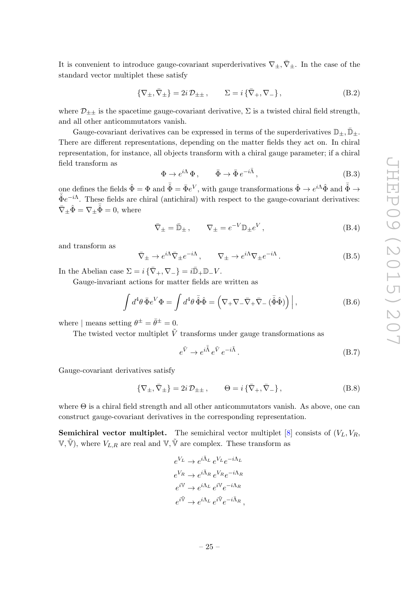It is convenient to introduce gauge-covariant superderivatives  $\nabla_{\pm}$ ,  $\bar{\nabla}_{\pm}$ . In the case of the standard vector multiplet these satisfy

$$
\{\nabla_{\pm}, \bar{\nabla}_{\pm}\} = 2i \mathcal{D}_{\pm \pm} , \qquad \Sigma = i \{\bar{\nabla}_{+}, \nabla_{-}\}, \tag{B.2}
$$

where  $\mathcal{D}_{\pm\pm}$  is the spacetime gauge-covariant derivative,  $\Sigma$  is a twisted chiral field strength, and all other anticommutators vanish.

Gauge-covariant derivatives can be expressed in terms of the superderivatives  $\mathbb{D}_\pm, \mathbb{D}_\pm$ . There are different representations, depending on the matter fields they act on. In chiral representation, for instance, all objects transform with a chiral gauge parameter; if a chiral field transform as

$$
\Phi \to e^{i\Lambda} \Phi \,, \qquad \bar{\Phi} \to \bar{\Phi} \, e^{-i\bar{\Lambda}} \,, \tag{B.3}
$$

one defines the fields  $\hat{\Phi} = \Phi$  and  $\bar{\hat{\Phi}} = \bar{\Phi}e^V$ , with gauge transformations  $\hat{\Phi} \to e^{i\Lambda} \hat{\Phi}$  and  $\bar{\hat{\Phi}} \to \infty$  $\bar{\hat{\Phi}}e^{-i\Lambda}$ . These fields are chiral (antichiral) with respect to the gauge-covariant derivatives:  $\bar{\nabla}_{\pm} \hat{\Phi} = \nabla_{\pm} \bar{\hat{\Phi}} = 0$ , where

$$
\bar{\nabla}_{\pm} = \bar{\mathbb{D}}_{\pm} , \qquad \nabla_{\pm} = e^{-V} \mathbb{D}_{\pm} e^V , \qquad (B.4)
$$

and transform as

$$
\bar{\nabla}_{\pm} \to e^{i\Lambda} \bar{\nabla}_{\pm} e^{-i\Lambda} \,, \qquad \nabla_{\pm} \to e^{i\Lambda} \nabla_{\pm} e^{-i\Lambda} \,. \tag{B.5}
$$

In the Abelian case  $\Sigma = i \{\bar{\nabla}_+, \nabla_-\} = i \bar{\mathbb{D}}_+ \mathbb{D}_- V$ .

Gauge-invariant actions for matter fields are written as

$$
\int d^4\theta \,\overline{\Phi} e^V \Phi = \int d^4\theta \,\overline{\hat{\Phi}} \hat{\Phi} = \left(\nabla_+ \nabla_- \overline{\nabla}_+ \overline{\nabla}_- (\overline{\hat{\Phi}} \hat{\Phi})\right)\Big|,\tag{B.6}
$$

where | means setting  $\theta^{\pm} = \bar{\theta}^{\pm} = 0$ .

The twisted vector multiplet  $\tilde{V}$  transforms under gauge transformations as

$$
e^{\tilde{V}} \to e^{i\tilde{\Lambda}} e^{\tilde{V}} e^{-i\tilde{\Lambda}}.
$$
\n(B.7)

Gauge-covariant derivatives satisfy

$$
\{\nabla_{\pm}, \bar{\nabla}_{\pm}\} = 2i \mathcal{D}_{\pm \pm} ,\qquad \Theta = i \{\bar{\nabla}_{+}, \bar{\nabla}_{-}\},\tag{B.8}
$$

where  $\Theta$  is a chiral field strength and all other anticommutators vanish. As above, one can construct gauge-covariant derivatives in the corresponding representation.

**Semichiral vector multiplet.** The semichiral vector multiplet  $[8]$  consists of  $(V_L, V_R)$ ,  $V$ ,  $\tilde{V}$ ), where  $V_{L,R}$  are real and  $V$ ,  $\tilde{V}$  are complex. These transform as

$$
e^{V_L} \rightarrow e^{i\bar{\Lambda}_L} e^{V_L} e^{-i\Lambda_L}
$$
  
\n
$$
e^{V_R} \rightarrow e^{i\bar{\Lambda}_R} e^{V_R} e^{-i\Lambda_R}
$$
  
\n
$$
e^{i\bar{\nu}} \rightarrow e^{i\Lambda_L} e^{i\bar{\nu}} e^{-i\Lambda_R}
$$
  
\n
$$
e^{i\bar{\nu}} \rightarrow e^{i\Lambda_L} e^{i\bar{\nu}} e^{-i\bar{\Lambda}_R}
$$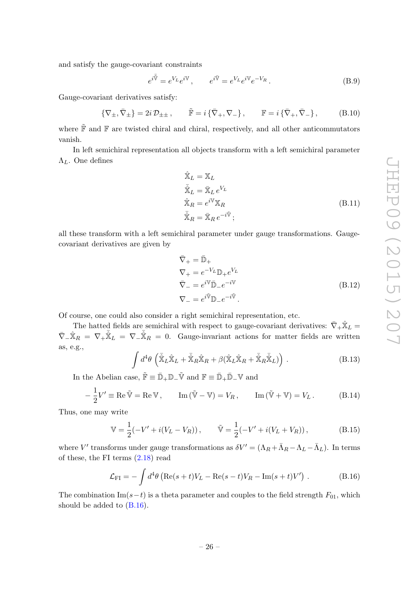and satisfy the gauge-covariant constraints

$$
e^{i\overline{\hat{\mathbb{V}}}} = e^{V_L} e^{i\mathbb{V}}, \qquad e^{i\overline{\mathbb{V}}} = e^{V_L} e^{i\mathbb{V}} e^{-V_R}.
$$
 (B.9)

Gauge-covariant derivatives satisfy:

$$
\{\nabla_{\pm}, \bar{\nabla}_{\pm}\} = 2i \mathcal{D}_{\pm \pm} , \qquad \tilde{\mathbb{F}} = i \{\bar{\nabla}_{+}, \nabla_{-}\} , \qquad \mathbb{F} = i \{\bar{\nabla}_{+}, \bar{\nabla}_{-}\} , \tag{B.10}
$$

where  $\tilde{\mathbb{F}}$  and  $\mathbb{F}$  are twisted chiral and chiral, respectively, and all other anticommutators vanish.

In left semichiral representation all objects transform with a left semichiral parameter  $\Lambda_L$ . One defines

$$
\hat{\mathbf{X}}_L = \mathbf{X}_L \n\bar{\mathbf{X}}_L = \bar{\mathbf{X}}_L e^{V_L} \n\hat{\mathbf{X}}_R = e^{i\mathbf{V}} \mathbf{X}_R \n\bar{\mathbf{X}}_R = \bar{\mathbf{X}}_R e^{-i\tilde{\mathbf{V}}};
$$
\n(B.11)

all these transform with a left semichiral parameter under gauge transformations. Gaugecovariant derivatives are given by

$$
\begin{aligned}\n\bar{\nabla}_{+} &= \bar{\mathbb{D}}_{+} \\
\nabla_{+} &= e^{-V_{L}} \mathbb{D}_{+} e^{V_{L}} \\
\bar{\nabla}_{-} &= e^{i\mathbb{V}} \bar{\mathbb{D}}_{-} e^{-i\mathbb{V}} \\
\nabla_{-} &= e^{i\mathbb{V}} \mathbb{D}_{-} e^{-i\mathbb{V}}.\n\end{aligned} \tag{B.12}
$$

Of course, one could also consider a right semichiral representation, etc.

The hatted fields are semichiral with respect to gauge-covariant derivatives:  $\bar{\nabla}_+ \hat{\mathbb{X}}_L =$  $\bar{\nabla}_{-}\hat{\mathbb{X}}_{R} = \nabla_{+}\bar{\hat{\mathbb{X}}}_{L} = \nabla_{-}\bar{\hat{\mathbb{X}}}_{R} = 0.$  Gauge-invariant actions for matter fields are written as, e.g.,

$$
\int d^4\theta \left( \bar{\hat{\mathbf{X}}}_L \hat{\mathbf{X}}_L + \bar{\hat{\mathbf{X}}}_R \hat{\mathbf{X}}_R + \beta (\hat{\mathbf{X}}_L \hat{\mathbf{X}}_R + \bar{\hat{\mathbf{X}}}_R \bar{\hat{\mathbf{X}}}_L) \right).
$$
 (B.13)

In the Abelian case,  $\tilde{\mathbb{F}} \equiv \bar{\mathbb{D}}_+ \mathbb{D}_- \tilde{\mathbb{V}}$  and  $\mathbb{F} \equiv \bar{\mathbb{D}}_+ \bar{\mathbb{D}}_- \mathbb{V}$  and

$$
-\frac{1}{2}V' \equiv \text{Re}\,\tilde{\mathbb{V}} = \text{Re}\,\mathbb{V}, \qquad \text{Im}\,(\tilde{\mathbb{V}} - \mathbb{V}) = V_R, \qquad \text{Im}\,(\tilde{\mathbb{V}} + \mathbb{V}) = V_L. \tag{B.14}
$$

Thus, one may write

$$
\mathbb{V} = \frac{1}{2}(-V' + i(V_L - V_R)), \qquad \tilde{\mathbb{V}} = \frac{1}{2}(-V' + i(V_L + V_R)), \tag{B.15}
$$

where V' transforms under gauge transformations as  $\delta V' = (\Lambda_R + \bar{\Lambda}_R - \Lambda_L - \bar{\Lambda}_L)$ . In terms of these, the FI terms [\(2.18\)](#page-7-7) read

<span id="page-26-0"></span>
$$
\mathcal{L}_{\rm FI} = -\int d^4\theta \left( \text{Re}(s+t)V_L - \text{Re}(s-t)V_R - \text{Im}(s+t)V' \right) \,. \tag{B.16}
$$

The combination Im( $s-t$ ) is a theta parameter and couples to the field strength  $F_{01}$ , which should be added to [\(B.16\)](#page-26-0).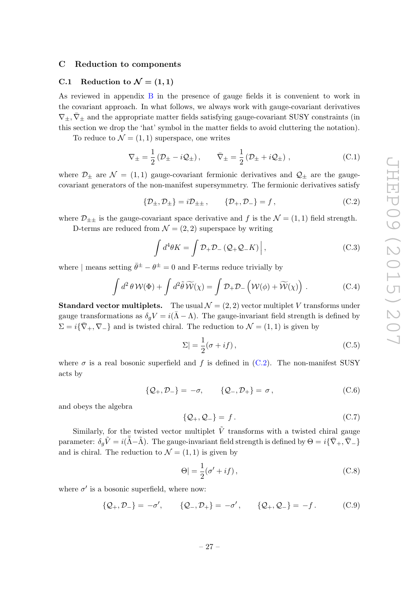#### <span id="page-27-0"></span>C Reduction to components

# <span id="page-27-1"></span>C.1 Reduction to  $\mathcal{N} = (1, 1)$

As reviewed in appendix [B](#page-24-0) in the presence of gauge fields it is convenient to work in the covariant approach. In what follows, we always work with gauge-covariant derivatives  $\nabla_{\pm}$ ,  $\bar{\nabla}_{\pm}$  and the appropriate matter fields satisfying gauge-covariant SUSY constraints (in this section we drop the 'hat' symbol in the matter fields to avoid cluttering the notation).

To reduce to  $\mathcal{N} = (1, 1)$  superspace, one writes

<span id="page-27-3"></span>
$$
\nabla_{\pm} = \frac{1}{2} \left( \mathcal{D}_{\pm} - i \mathcal{Q}_{\pm} \right), \qquad \bar{\nabla}_{\pm} = \frac{1}{2} \left( \mathcal{D}_{\pm} + i \mathcal{Q}_{\pm} \right), \tag{C.1}
$$

where  $\mathcal{D}_{\pm}$  are  $\mathcal{N} = (1, 1)$  gauge-covariant fermionic derivatives and  $\mathcal{Q}_{\pm}$  are the gaugecovariant generators of the non-manifest supersymmetry. The fermionic derivatives satisfy

<span id="page-27-2"></span>
$$
\{\mathcal{D}_{\pm}, \mathcal{D}_{\pm}\} = i\mathcal{D}_{\pm\pm} ,\qquad \{\mathcal{D}_{+}, \mathcal{D}_{-}\} = f , \tag{C.2}
$$

where  $\mathcal{D}_{\pm\pm}$  is the gauge-covariant space derivative and f is the  $\mathcal{N} = (1, 1)$  field strength.

D-terms are reduced from  $\mathcal{N} = (2, 2)$  superspace by writing

$$
\int d^4\theta K = \int \mathcal{D}_+ \mathcal{D}_- \left( \mathcal{Q}_+ \mathcal{Q}_- K \right) \Big|, \tag{C.3}
$$

where | means setting  $\bar{\theta}^{\pm} - \theta^{\pm} = 0$  and F-terms reduce trivially by

$$
\int d^2 \theta \mathcal{W}(\Phi) + \int d^2 \tilde{\theta} \widetilde{\mathcal{W}}(\chi) = \int \mathcal{D}_+ \mathcal{D}_- \left( \mathcal{W}(\phi) + \widetilde{\mathcal{W}}(\chi) \right) . \tag{C.4}
$$

**Standard vector multiplets.** The usual  $\mathcal{N} = (2, 2)$  vector multiplet V transforms under gauge transformations as  $\delta_q V = i(\bar{\Lambda} - \Lambda)$ . The gauge-invariant field strength is defined by  $\Sigma = i\{\bar{\nabla}_+, \nabla_-\}$  and is twisted chiral. The reduction to  $\mathcal{N} = (1,1)$  is given by

$$
\Sigma| = \frac{1}{2}(\sigma + if) \,,\tag{C.5}
$$

where  $\sigma$  is a real bosonic superfield and f is defined in [\(C.2\)](#page-27-2). The non-manifest SUSY acts by

$$
\{Q_+, \mathcal{D}_-\} = -\sigma, \qquad \{Q_-, \mathcal{D}_+\} = \sigma, \qquad (C.6)
$$

and obeys the algebra

$$
\{\mathcal{Q}_+,\mathcal{Q}_-\}=f.\tag{C.7}
$$

Similarly, for the twisted vector multiplet  $\tilde{V}$  transforms with a twisted chiral gauge parameter:  $\delta_g \tilde{V} = i(\bar{\tilde{\Lambda}} - \tilde{\Lambda})$ . The gauge-invariant field strength is defined by  $\Theta = i\{\bar{\nabla}_+, \bar{\nabla}_-\}$ and is chiral. The reduction to  $\mathcal{N} = (1, 1)$  is given by

$$
\Theta| = \frac{1}{2}(\sigma' + if), \qquad (C.8)
$$

where  $\sigma'$  is a bosonic superfield, where now:

$$
\{Q_+, \mathcal{D}_-\} = -\sigma', \qquad \{Q_-, \mathcal{D}_+\} = -\sigma', \qquad \{Q_+, Q_-\} = -f. \tag{C.9}
$$

$$
-27-
$$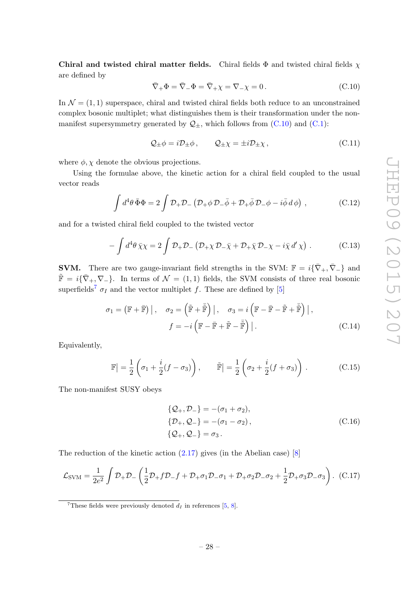Chiral and twisted chiral matter fields. Chiral fields  $\Phi$  and twisted chiral fields  $\chi$ are defined by

<span id="page-28-2"></span>
$$
\overline{\nabla}_{+}\Phi = \overline{\nabla}_{-}\Phi = \overline{\nabla}_{+}\chi = \nabla_{-\chi} = 0.
$$
\n(C.10)

In  $\mathcal{N} = (1, 1)$  superspace, chiral and twisted chiral fields both reduce to an unconstrained complex bosonic multiplet; what distinguishes them is their transformation under the nonmanifest supersymmetry generated by  $\mathcal{Q}_{\pm}$ , which follows from [\(C.10\)](#page-28-2) and [\(C.1\)](#page-27-3):

$$
\mathcal{Q}_{\pm}\phi = i\mathcal{D}_{\pm}\phi \,, \qquad \mathcal{Q}_{\pm}\chi = \pm i\mathcal{D}_{\pm}\chi \,, \tag{C.11}
$$

where  $\phi$ ,  $\chi$  denote the obvious projections.

Using the formulae above, the kinetic action for a chiral field coupled to the usual vector reads

<span id="page-28-1"></span>
$$
\int d^4\theta \,\bar{\Phi}\Phi = 2 \int \mathcal{D}_+ \mathcal{D}_- \left( \mathcal{D}_+ \phi \,\mathcal{D}_- \bar{\phi} + \mathcal{D}_+ \bar{\phi} \,\mathcal{D}_- \phi - i \bar{\phi} \,d\,\phi \right) , \tag{C.12}
$$

and for a twisted chiral field coupled to the twisted vector

$$
-\int d^4\theta \,\bar{\chi}\chi = 2\int \mathcal{D}_+ \mathcal{D}_-\left(\mathcal{D}_+\chi \mathcal{D}_-\bar{\chi} + \mathcal{D}_+\bar{\chi} \mathcal{D}_-\chi - i\bar{\chi} \,d'\chi\right) \,. \tag{C.13}
$$

**SVM.** There are two gauge-invariant field strengths in the SVM:  $\mathbb{F} = i\{\bar{\nabla}_+, \bar{\nabla}_-\}$  and  $\tilde{\mathbb{F}} = i\{\bar{\nabla}_+, \nabla_-\}.$  In terms of  $\mathcal{N} = (1,1)$  fields, the SVM consists of three real bosonic superfields<sup>[7](#page-28-3)</sup>  $\sigma$ <sub>I</sub> and the vector multiplet f. These are defined by [\[5\]](#page-32-4)

$$
\sigma_1 = (\mathbb{F} + \bar{\mathbb{F}}) \Big|, \quad \sigma_2 = \left( \tilde{\mathbb{F}} + \tilde{\bar{\mathbb{F}}} \right) \Big|, \quad \sigma_3 = i \left( \mathbb{F} - \bar{\mathbb{F}} - \tilde{\mathbb{F}} + \tilde{\bar{\mathbb{F}}} \right) \Big|,
$$

$$
f = -i \left( \mathbb{F} - \bar{\mathbb{F}} + \tilde{\mathbb{F}} - \tilde{\bar{\mathbb{F}}} \right) \Big|.
$$
 (C.14)

Equivalently,

<span id="page-28-4"></span>
$$
\mathbb{F}\left| = \frac{1}{2}\left(\sigma_1 + \frac{i}{2}(f - \sigma_3)\right), \qquad \tilde{\mathbb{F}}\right| = \frac{1}{2}\left(\sigma_2 + \frac{i}{2}(f + \sigma_3)\right). \tag{C.15}
$$

The non-manifest SUSY obeys

$$
\{Q_+, \mathcal{D}_-\} = -(\sigma_1 + \sigma_2), \{\mathcal{D}_+, \mathcal{Q}_-\} = -(\sigma_1 - \sigma_2), \{\mathcal{Q}_+, \mathcal{Q}_-\} = \sigma_3.
$$
\n(C.16)

The reduction of the kinetic action [\(2.17\)](#page-7-6) gives (in the Abelian case) [\[8\]](#page-32-10)

<span id="page-28-0"></span>
$$
\mathcal{L}_{\text{SVM}} = \frac{1}{2e^2} \int \mathcal{D}_+ \mathcal{D}_- \left( \frac{1}{2} \mathcal{D}_+ f \mathcal{D}_- f + \mathcal{D}_+ \sigma_1 \mathcal{D}_- \sigma_1 + \mathcal{D}_+ \sigma_2 \mathcal{D}_- \sigma_2 + \frac{1}{2} \mathcal{D}_+ \sigma_3 \mathcal{D}_- \sigma_3 \right). (C.17)
$$

<span id="page-28-3"></span><sup>&</sup>lt;sup>7</sup>These fields were previously denoted  $d_I$  in references [\[5,](#page-32-4) [8\]](#page-32-10).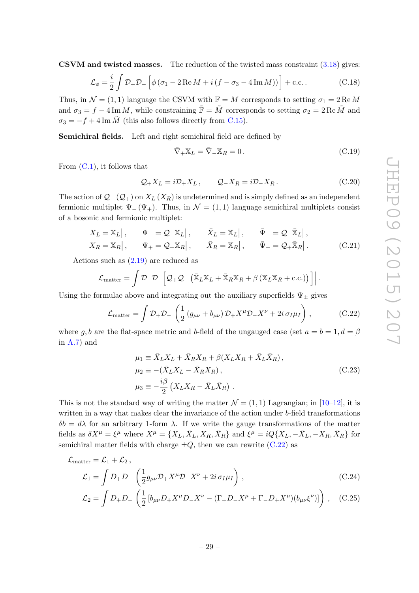CSVM and twisted masses. The reduction of the twisted mass constraint [\(3.18\)](#page-11-0) gives:

$$
\mathcal{L}_{\phi} = \frac{i}{2} \int \mathcal{D}_{+} \mathcal{D}_{-} \left[ \phi \left( \sigma_{1} - 2 \operatorname{Re} M + i \left( f - \sigma_{3} - 4 \operatorname{Im} M \right) \right) \right] + \text{c.c.} \tag{C.18}
$$

Thus, in  $\mathcal{N} = (1, 1)$  language the CSVM with  $\mathbb{F} = M$  corresponds to setting  $\sigma_1 = 2 \text{Re } M$ and  $\sigma_3 = f - 4 \operatorname{Im} M$ , while constraining  $\tilde{\mathbb{F}} = \tilde{M}$  corresponds to setting  $\sigma_2 = 2 \operatorname{Re} \tilde{M}$  and  $\sigma_3 = -f + 4 \operatorname{Im} \tilde{M}$  (this also follows directly from [C.15\)](#page-28-4).

Semichiral fields. Left and right semichiral field are defined by

<span id="page-29-1"></span>
$$
\overline{\nabla}_{+} \mathbb{X}_{L} = \overline{\nabla}_{-} \mathbb{X}_{R} = 0. \qquad (C.19)
$$

From  $(C.1)$ , it follows that

$$
Q_+ X_L = i \mathcal{D}_+ X_L, \qquad Q_- X_R = i \mathcal{D}_- X_R. \tag{C.20}
$$

The action of  $\mathcal{Q}_-(\mathcal{Q}_+)$  on  $X_L(X_R)$  is undetermined and is simply defined as an independent fermionic multiplet  $\Psi_-(\Psi_+)$ . Thus, in  $\mathcal{N} = (1,1)$  language semichiral multiplets consist of a bosonic and fermionic multiplet:

$$
X_L = \mathbb{X}_L | , \qquad \Psi_- = \mathcal{Q}_- \mathbb{X}_L | , \qquad \bar{X}_L = \mathbb{X}_L | , \qquad \bar{\Psi}_- = \mathcal{Q}_- \bar{\mathbb{X}}_L | ,
$$
  
\n
$$
X_R = \mathbb{X}_R | , \qquad \Psi_+ = \mathcal{Q}_+ \mathbb{X}_R | , \qquad \bar{X}_R = \mathbb{X}_R | , \qquad \bar{\Psi}_+ = \mathcal{Q}_+ \bar{\mathbb{X}}_R | .
$$
 (C.21)

Actions such as [\(2.19\)](#page-7-8) are reduced as

$$
\mathcal{L}_{\text{matter}} = \int \mathcal{D}_{+} \mathcal{D}_{-} \Big[ \mathcal{Q}_{+} \mathcal{Q}_{-} \left( \bar{\mathbb{X}}_{L} \mathbb{X}_{L} + \bar{\mathbb{X}}_{R} \mathbb{X}_{R} + \beta \left( \mathbb{X}_{L} \mathbb{X}_{R} + \text{c.c.} \right) \right) \Big] \Big|.
$$

Using the formulae above and integrating out the auxiliary superfields  $\Psi_{\pm}$  gives

<span id="page-29-2"></span>
$$
\mathcal{L}_{\text{matter}} = \int \mathcal{D}_{+} \mathcal{D}_{-} \left( \frac{1}{2} \left( g_{\mu\nu} + b_{\mu\nu} \right) \mathcal{D}_{+} X^{\mu} \mathcal{D}_{-} X^{\nu} + 2i \sigma_{I} \mu_{I} \right) , \qquad (C.22)
$$

where g, b are the flat-space metric and b-field of the ungauged case (set  $a = b = 1, d = \beta$ ) in [A.7\)](#page-24-2) and

<span id="page-29-3"></span><span id="page-29-0"></span>
$$
\mu_1 \equiv \bar{X}_L X_L + \bar{X}_R X_R + \beta (X_L X_R + \bar{X}_L \bar{X}_R),
$$
  
\n
$$
\mu_2 \equiv -(\bar{X}_L X_L - \bar{X}_R X_R),
$$
  
\n
$$
\mu_3 \equiv -\frac{i\beta}{2} (X_L X_R - \bar{X}_L \bar{X}_R).
$$
\n(C.23)

This is not the standard way of writing the matter  $\mathcal{N} = (1, 1)$  Lagrangian; in [\[10](#page-32-6)[–12\]](#page-32-8), it is written in a way that makes clear the invariance of the action under b-field transformations  $\delta b = d\lambda$  for an arbitrary 1-form  $\lambda$ . If we write the gauge transformations of the matter fields as  $\delta X^{\mu} = \xi^{\mu}$  where  $X^{\mu} = \{X_L, \bar{X}_L, X_R, \bar{X}_R\}$  and  $\xi^{\mu} = iQ\{X_L, -\bar{X}_L, -X_R, \bar{X}_R\}$  for semichiral matter fields with charge  $\pm Q$ , then we can rewrite [\(C.22\)](#page-29-2) as

$$
\mathcal{L}_{\text{matter}} = \mathcal{L}_1 + \mathcal{L}_2 ,
$$
\n
$$
\mathcal{L}_1 = \int D_+ D_- \left( \frac{1}{2} g_{\mu\nu} \mathcal{D}_+ X^\mu \mathcal{D}_- X^\nu + 2i \sigma_I \mu_I \right) , \qquad (C.24)
$$

$$
\mathcal{L}_2 = \int D_+ D_- \left( \frac{1}{2} \left[ b_{\mu\nu} D_+ X^{\mu} D_- X^{\nu} - (\Gamma_+ D_- X^{\mu} + \Gamma_- D_+ X^{\mu}) (b_{\mu\nu} \xi^{\nu}) \right] \right), \quad (C.25)
$$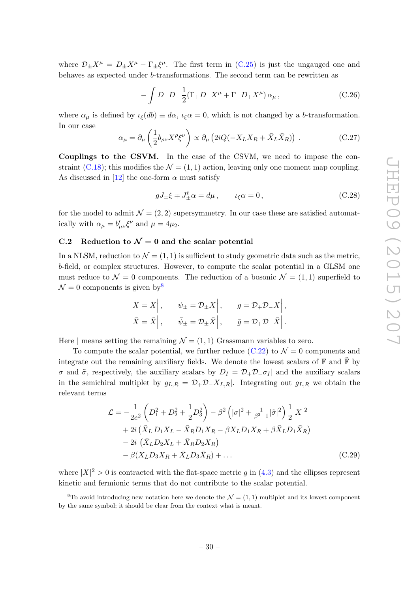where  $\mathcal{D}_{\pm}X^{\mu} = D_{\pm}X^{\mu} - \Gamma_{\pm}\xi^{\mu}$ . The first term in [\(C.25\)](#page-29-3) is just the ungauged one and behaves as expected under b-transformations. The second term can be rewritten as

$$
-\int D_{+}D_{-}\frac{1}{2}(\Gamma_{+}D_{-}X^{\mu}+\Gamma_{-}D_{+}X^{\mu})\,\alpha_{\mu}\,,\tag{C.26}
$$

where  $\alpha_{\mu}$  is defined by  $\iota_{\xi}(db) \equiv d\alpha$ ,  $\iota_{\xi}\alpha = 0$ , which is not changed by a b-transformation. In our case

$$
\alpha_{\mu} = \partial_{\mu} \left( \frac{1}{2} b_{\rho \nu} X^{\rho} \xi^{\nu} \right) \propto \partial_{\mu} \left( 2iQ(-X_L X_R + \bar{X}_L \bar{X}_R) \right) . \tag{C.27}
$$

Couplings to the CSVM. In the case of the CSVM, we need to impose the con-straint [\(C.18\)](#page-29-1); this modifies the  $\mathcal{N} = (1, 1)$  action, leaving only one moment map coupling. As discussed in [\[12\]](#page-32-8) the one-form  $\alpha$  must satisfy

$$
gJ_{\pm}\xi \mp J_{\pm}^t \alpha = d\mu, \qquad \iota_{\xi}\alpha = 0, \qquad (C.28)
$$

for the model to admit  $\mathcal{N} = (2, 2)$  supersymmetry. In our case these are satisfied automatically with  $\alpha_{\mu} = b'_{\mu\nu} \xi^{\nu}$  and  $\mu = 4\mu_2$ .

#### <span id="page-30-0"></span>C.2 Reduction to  $\mathcal{N}=0$  and the scalar potential

In a NLSM, reduction to  $\mathcal{N} = (1, 1)$  is sufficient to study geometric data such as the metric, b-field, or complex structures. However, to compute the scalar potential in a GLSM one must reduce to  $\mathcal{N} = 0$  components. The reduction of a bosonic  $\mathcal{N} = (1, 1)$  superfield to  $\mathcal{N} = 0$  components is given by  $\frac{8}{3}$  $\frac{8}{3}$  $\frac{8}{3}$ 

$$
X = X | , \t \psi_{\pm} = \mathcal{D}_{\pm} X | , \t g = \mathcal{D}_{+} \mathcal{D}_{-} X | ,
$$
  

$$
\bar{X} = \bar{X} | , \t \bar{\psi}_{\pm} = \mathcal{D}_{\pm} \bar{X} | , \t \bar{g} = \mathcal{D}_{+} \mathcal{D}_{-} \bar{X} | .
$$

Here | means setting the remaining  $\mathcal{N} = (1, 1)$  Grassmann variables to zero.

To compute the scalar potential, we further reduce [\(C.22\)](#page-29-2) to  $\mathcal{N} = 0$  components and integrate out the remaining auxiliary fields. We denote the lowest scalars of  $\mathbb F$  and  $\tilde{\mathbb F}$  by σ and  $\tilde{\sigma}$ , respectively, the auxiliary scalars by  $D_I = \mathcal{D}_+ \mathcal{D}_- \sigma_I$  and the auxiliary scalars in the semichiral multiplet by  $g_{L,R} = \mathcal{D}_+ \mathcal{D}_- X_{L,R}$ . Integrating out  $g_{L,R}$  we obtain the relevant terms

<span id="page-30-2"></span>
$$
\mathcal{L} = -\frac{1}{2e^2} \left( D_1^2 + D_2^2 + \frac{1}{2} D_3^2 \right) - \beta^2 \left( |\sigma|^2 + \frac{1}{\beta^2 - 1} |\tilde{\sigma}|^2 \right) \frac{1}{2} |X|^2 + 2i \left( \bar{X}_L D_1 X_L - \bar{X}_R D_1 X_R - \beta X_L D_1 X_R + \beta \bar{X}_L D_1 \bar{X}_R \right) - 2i \left( \bar{X}_L D_2 X_L + \bar{X}_R D_2 X_R \right) - \beta (X_L D_3 X_R + \bar{X}_L D_3 \bar{X}_R) + \dots
$$
(C.29)

where  $|X|^2 > 0$  is contracted with the flat-space metric g in [\(4.3\)](#page-15-2) and the ellipses represent kinetic and fermionic terms that do not contribute to the scalar potential.

<span id="page-30-1"></span><sup>&</sup>lt;sup>8</sup>To avoid introducing new notation here we denote the  $\mathcal{N} = (1, 1)$  multiplet and its lowest component by the same symbol; it should be clear from the context what is meant.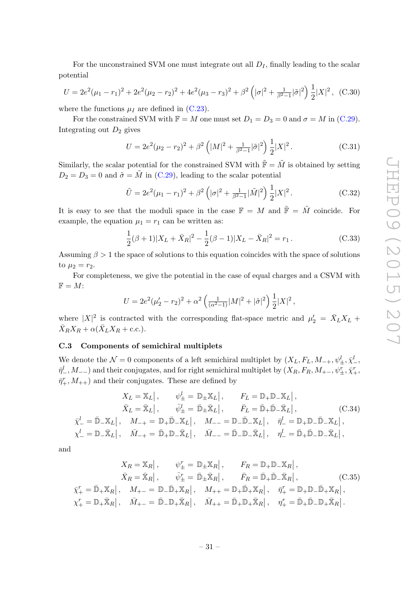For the unconstrained SVM one must integrate out all  $D_I$ , finally leading to the scalar potential

$$
U = 2e^2(\mu_1 - r_1)^2 + 2e^2(\mu_2 - r_2)^2 + 4e^2(\mu_3 - r_3)^2 + \beta^2\left(|\sigma|^2 + \frac{1}{\beta^2 - 1}|\tilde{\sigma}|^2\right)\frac{1}{2}|X|^2, \quad (C.30)
$$

where the functions  $\mu_I$  are defined in [\(C.23\)](#page-29-0).

For the constrained SVM with  $\mathbb{F} = M$  one must set  $D_1 = D_3 = 0$  and  $\sigma = M$  in [\(C.29\)](#page-30-2). Integrating out  $D_2$  gives

$$
U = 2e^2(\mu_2 - r_2)^2 + \beta^2 \left( |M|^2 + \frac{1}{\beta^2 - 1} |\tilde{\sigma}|^2 \right) \frac{1}{2} |X|^2.
$$
 (C.31)

Similarly, the scalar potential for the constrained SVM with  $\tilde{\mathbb{F}} = \tilde{M}$  is obtained by setting  $D_2 = D_3 = 0$  and  $\tilde{\sigma} = \tilde{M}$  in [\(C.29\)](#page-30-2), leading to the scalar potential

$$
\tilde{U} = 2e^2(\mu_1 - r_1)^2 + \beta^2 \left( |\sigma|^2 + \frac{1}{\beta^2 - 1} |\tilde{M}|^2 \right) \frac{1}{2} |X|^2.
$$
\n(C.32)

It is easy to see that the moduli space in the case  $\mathbb{F} = M$  and  $\tilde{\mathbb{F}} = \tilde{M}$  coincide. For example, the equation  $\mu_1 = r_1$  can be written as:

$$
\frac{1}{2}(\beta+1)|X_L + \bar{X}_R|^2 - \frac{1}{2}(\beta-1)|X_L - \bar{X}_R|^2 = r_1.
$$
 (C.33)

Assuming  $\beta > 1$  the space of solutions to this equation coincides with the space of solutions to  $\mu_2 = r_2$ .

For completeness, we give the potential in the case of equal charges and a CSVM with  $\mathbb{F} = M$ :

$$
U = 2e^2(\mu'_2 - r_2)^2 + \alpha^2 \left(\frac{1}{(\alpha^2 - 1)}|M|^2 + |\tilde{\sigma}|^2\right) \frac{1}{2}|X|^2,
$$

where  $|X|^2$  is contracted with the corresponding flat-space metric and  $\mu'_2 = \bar{X}_L X_L +$  $\bar{X}_R X_R + \alpha (\bar{X}_L X_R + \text{c.c.}).$ 

#### <span id="page-31-0"></span>C.3 Components of semichiral multiplets

We denote the  $\mathcal{N}=0$  components of a left semichiral multiplet by  $(X_L, F_L, M_{-+}, \psi^l_{\pm}, \bar{\chi}^l_{-},$  $\bar{\eta}^l_-,M_{--})$  and their conjugates, and for right semichiral multiplet by  $(X_R,F_R,M_{+-},\psi^r_\pm,\bar{\chi}^r_+,$  $\bar{\eta}^r_+, M_{++}$ ) and their conjugates. These are defined by

$$
X_L = \mathbb{X}_L | , \qquad \psi_{\pm}^l = \mathbb{D}_{\pm} \mathbb{X}_L | , \qquad F_L = \mathbb{D}_{+} \mathbb{D}_{-} \mathbb{X}_L | ,
$$
  
\n
$$
\bar{X}_L = \bar{\mathbb{X}}_L | , \qquad \bar{\psi}_{\pm}^l = \bar{\mathbb{D}}_{\pm} \bar{\mathbb{X}}_L | , \qquad \bar{F}_L = \bar{\mathbb{D}}_{+} \bar{\mathbb{D}}_{-} \bar{\mathbb{X}}_L | ,
$$
  
\n
$$
\bar{\chi}_{-}^l = \bar{\mathbb{D}}_{-} \mathbb{X}_L | , \qquad M_{-+} = \mathbb{D}_{+} \bar{\mathbb{D}}_{-} \mathbb{X}_L | , \qquad M_{--} = \mathbb{D}_{-} \bar{\mathbb{D}}_{-} \mathbb{X}_L | , \qquad \bar{\eta}_{-}^l = \mathbb{D}_{+} \mathbb{D}_{-} \bar{\mathbb{X}}_L | ,
$$
  
\n
$$
\chi_{-}^l = \mathbb{D}_{-} \bar{\mathbb{X}}_L | , \qquad \bar{M}_{-+} = \bar{\mathbb{D}}_{+} \mathbb{D}_{-} \bar{\mathbb{X}}_L | , \qquad \bar{M}_{--} = \bar{\mathbb{D}}_{-} \mathbb{D}_{-} \bar{\mathbb{X}}_L | , \qquad \eta_{-}^l = \bar{\mathbb{D}}_{+} \bar{\mathbb{D}}_{-} \mathbb{D}_{-} \bar{\mathbb{X}}_L | ,
$$

and

$$
X_R = \mathbb{X}_R | , \qquad \psi_{\pm}^r = \mathbb{D}_{\pm} \mathbb{X}_R | , \qquad F_R = \mathbb{D}_{+} \mathbb{D}_{-} \mathbb{X}_R | ,
$$
  
\n
$$
\bar{X}_R = \bar{\mathbb{X}}_R | , \qquad \bar{\psi}_{\pm}^r = \bar{\mathbb{D}}_{\pm} \bar{\mathbb{X}}_R | , \qquad \bar{F}_R = \bar{\mathbb{D}}_{+} \bar{\mathbb{D}}_{-} \bar{\mathbb{X}}_R | ,
$$
  
\n
$$
\bar{\chi}_{+}^r = \bar{\mathbb{D}}_{+} \mathbb{X}_R | , \qquad M_{+-} = \mathbb{D}_{-} \bar{\mathbb{D}}_{+} \mathbb{X}_R | , \qquad M_{++} = \mathbb{D}_{+} \bar{\mathbb{D}}_{+} \mathbb{X}_R | , \qquad \bar{\eta}_{+}^r = \mathbb{D}_{+} \mathbb{D}_{-} \bar{\mathbb{D}}_{+} \mathbb{X}_R | ,
$$
  
\n
$$
\chi_{+}^r = \mathbb{D}_{+} \bar{\mathbb{X}}_R | , \qquad \bar{M}_{+-} = \bar{\mathbb{D}}_{-} \mathbb{D}_{+} \bar{\mathbb{X}}_R | , \qquad \bar{M}_{++} = \bar{\mathbb{D}}_{+} \mathbb{D}_{+} \bar{\mathbb{X}}_R | , \qquad \eta_{+}^r = \bar{\mathbb{D}}_{+} \bar{\mathbb{D}}_{-} \mathbb{D}_{+} \bar{\mathbb{X}}_R | .
$$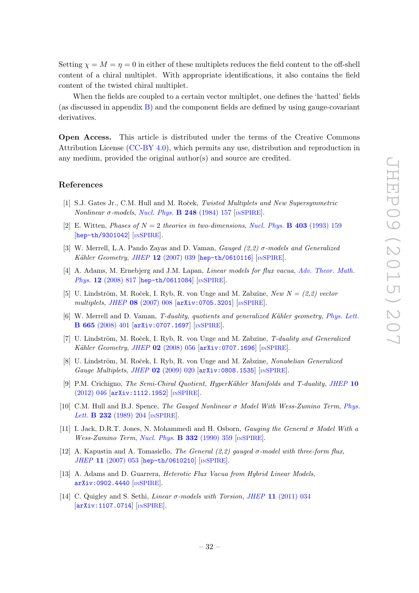Setting  $\chi = M = \eta = 0$  in either of these multiplets reduces the field content to the off-shell content of a chiral multiplet. With appropriate identifications, it also contains the field content of the twisted chiral multiplet.

When the fields are coupled to a certain vector multiplet, one defines the 'hatted' fields (as discussed in appendix [B\)](#page-24-0) and the component fields are defined by using gauge-covariant derivatives.

Open Access. This article is distributed under the terms of the Creative Commons Attribution License [\(CC-BY 4.0\)](http://creativecommons.org/licenses/by/4.0/), which permits any use, distribution and reproduction in any medium, provided the original author(s) and source are credited.

# References

- <span id="page-32-0"></span>[1] S.J. Gates Jr., C.M. Hull and M. Roček, Twisted Multiplets and New Supersymmetric Nonlinear σ-models, [Nucl. Phys.](http://dx.doi.org/10.1016/0550-3213(84)90592-3) **B** 248 (1984) 157 [IN[SPIRE](http://inspirehep.net/search?p=find+J+Nucl.Phys.,B248,157)].
- <span id="page-32-1"></span>[2] E. Witten, Phases of  $N = 2$  theories in two-dimensions, [Nucl. Phys.](http://dx.doi.org/10.1016/0550-3213(93)90033-L) **B** 403 (1993) 159 [[hep-th/9301042](http://arxiv.org/abs/hep-th/9301042)] [IN[SPIRE](http://inspirehep.net/search?p=find+EPRINT+hep-th/9301042)].
- <span id="page-32-2"></span>[3] W. Merrell, L.A. Pando Zayas and D. Vaman, *Gauged*  $(2,2)$   $\sigma$ -models and *Generalized* Kähler Geometry, JHEP 12 [\(2007\) 039](http://dx.doi.org/10.1088/1126-6708/2007/12/039) [[hep-th/0610116](http://arxiv.org/abs/hep-th/0610116)] [IN[SPIRE](http://inspirehep.net/search?p=find+EPRINT+hep-th/0610116)].
- <span id="page-32-3"></span>[4] A. Adams, M. Ernebjerg and J.M. Lapan, *Linear models for flux vacua, [Adv. Theor. Math.](http://dx.doi.org/10.4310/ATMP.2008.v12.n4.a4)* Phys. 12 [\(2008\) 817](http://dx.doi.org/10.4310/ATMP.2008.v12.n4.a4) [[hep-th/0611084](http://arxiv.org/abs/hep-th/0611084)] [IN[SPIRE](http://inspirehep.net/search?p=find+EPRINT+hep-th/0611084)].
- <span id="page-32-4"></span>[5] U. Lindström, M. Roček, I. Ryb, R. von Unge and M. Zabzine, New  $N = (2,2)$  vector multiplets, JHEP 08 [\(2007\) 008](http://dx.doi.org/10.1088/1126-6708/2007/08/008) [[arXiv:0705.3201](http://arxiv.org/abs/0705.3201)] [IN[SPIRE](http://inspirehep.net/search?p=find+EPRINT+arXiv:0705.3201)].
- <span id="page-32-11"></span>[6] W. Merrell and D. Vaman, T-duality, quotients and generalized Kähler geometry, [Phys. Lett.](http://dx.doi.org/10.1016/j.physletb.2008.06.031) B 665 [\(2008\) 401](http://dx.doi.org/10.1016/j.physletb.2008.06.031) [[arXiv:0707.1697](http://arxiv.org/abs/0707.1697)] [IN[SPIRE](http://inspirehep.net/search?p=find+EPRINT+arXiv:0707.1697)].
- <span id="page-32-12"></span>[7] U. Lindström, M. Roček, I. Ryb, R. von Unge and M. Zabzine, T-duality and Generalized Kähler Geometry, JHEP  $02$  [\(2008\) 056](http://dx.doi.org/10.1088/1126-6708/2008/02/056) [[arXiv:0707.1696](http://arxiv.org/abs/0707.1696)] [IN[SPIRE](http://inspirehep.net/search?p=find+EPRINT+arXiv:0707.1696)].
- <span id="page-32-10"></span>[8] U. Lindström, M. Roček, I. Ryb, R. von Unge and M. Zabzine, Nonabelian Generalized Gauge Multiplets, JHEP 02 [\(2009\) 020](http://dx.doi.org/10.1088/1126-6708/2009/02/020) [[arXiv:0808.1535](http://arxiv.org/abs/0808.1535)] [IN[SPIRE](http://inspirehep.net/search?p=find+EPRINT+arXiv:0808.1535)].
- <span id="page-32-5"></span>[9] P.M. Crichigno, The Semi-Chiral Quotient, HyperKähler Manifolds and T-duality, [JHEP](http://dx.doi.org/10.1007/JHEP10(2012)046) 10 [\(2012\) 046](http://dx.doi.org/10.1007/JHEP10(2012)046) [[arXiv:1112.1952](http://arxiv.org/abs/1112.1952)] [IN[SPIRE](http://inspirehep.net/search?p=find+EPRINT+arXiv:1112.1952)].
- <span id="page-32-6"></span>[10] C.M. Hull and B.J. Spence, The Gauged Nonlinear σ Model With Wess-Zumino Term, [Phys.](http://dx.doi.org/10.1016/0370-2693(89)91688-2) Lett. **B 232** [\(1989\) 204](http://dx.doi.org/10.1016/0370-2693(89)91688-2) [IN[SPIRE](http://inspirehep.net/search?p=find+J+Phys.Lett.,B232,204)].
- <span id="page-32-7"></span>[11] I. Jack, D.R.T. Jones, N. Mohammedi and H. Osborn, Gauging the General σ Model With a Wess-Zumino Term, [Nucl. Phys.](http://dx.doi.org/10.1016/0550-3213(90)90099-Y)  $\bf{B}$  332 (1990) 359 [IN[SPIRE](http://inspirehep.net/search?p=find+J+Nucl.Phys.,B332,359)].
- <span id="page-32-8"></span>[12] A. Kapustin and A. Tomasiello, The General  $(2,2)$  gauged  $\sigma$ -model with three-form flux, JHEP 11 [\(2007\) 053](http://dx.doi.org/10.1088/1126-6708/2007/11/053) [[hep-th/0610210](http://arxiv.org/abs/hep-th/0610210)] [IN[SPIRE](http://inspirehep.net/search?p=find+EPRINT+hep-th/0610210)].
- <span id="page-32-9"></span>[13] A. Adams and D. Guarrera, Heterotic Flux Vacua from Hybrid Linear Models, [arXiv:0902.4440](http://arxiv.org/abs/0902.4440) [IN[SPIRE](http://inspirehep.net/search?p=find+EPRINT+arXiv:0902.4440)].
- [14] C. Quigley and S. Sethi, *Linear*  $\sigma$ *-models with Torsion, JHEP* 11 [\(2011\) 034](http://dx.doi.org/10.1007/JHEP11(2011)034) [[arXiv:1107.0714](http://arxiv.org/abs/1107.0714)] [IN[SPIRE](http://inspirehep.net/search?p=find+EPRINT+arXiv:1107.0714)].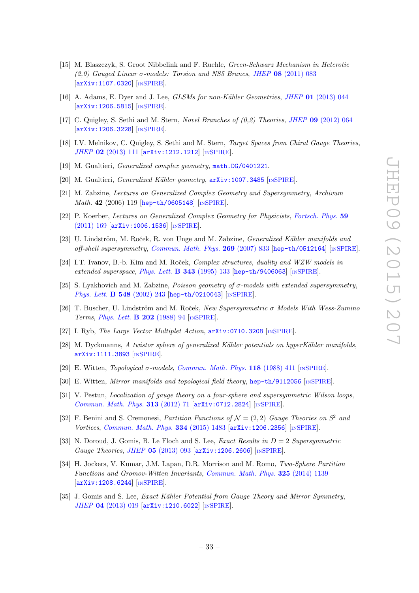- [15] M. Blaszczyk, S. Groot Nibbelink and F. Ruehle, Green-Schwarz Mechanism in Heterotic (2,0) Gauged Linear  $\sigma$ -models: Torsion and NS5 Branes, JHEP 08 [\(2011\) 083](http://dx.doi.org/10.1007/JHEP08(2011)083) [[arXiv:1107.0320](http://arxiv.org/abs/1107.0320)] [IN[SPIRE](http://inspirehep.net/search?p=find+EPRINT+arXiv:1107.0320)].
- [16] A. Adams, E. Dyer and J. Lee, *GLSMs for non-Kähler Geometries, JHEP* 01 [\(2013\) 044](http://dx.doi.org/10.1007/JHEP01(2013)044) [[arXiv:1206.5815](http://arxiv.org/abs/1206.5815)] [IN[SPIRE](http://inspirehep.net/search?p=find+EPRINT+arXiv:1206.5815)].
- [17] C. Quigley, S. Sethi and M. Stern, Novel Branches of (0,2) Theories, JHEP 09 [\(2012\) 064](http://dx.doi.org/10.1007/JHEP09(2012)064) [[arXiv:1206.3228](http://arxiv.org/abs/1206.3228)] [IN[SPIRE](http://inspirehep.net/search?p=find+EPRINT+arXiv:1206.3228)].
- <span id="page-33-0"></span>[18] I.V. Melnikov, C. Quigley, S. Sethi and M. Stern, Target Spaces from Chiral Gauge Theories, JHEP 02 [\(2013\) 111](http://dx.doi.org/10.1007/JHEP02(2013)111) [[arXiv:1212.1212](http://arxiv.org/abs/1212.1212)] [IN[SPIRE](http://inspirehep.net/search?p=find+EPRINT+arXiv:1212.1212)].
- <span id="page-33-1"></span>[19] M. Gualtieri, *Generalized complex geometry*, [math.DG/0401221](http://arxiv.org/abs/math.DG/0401221).
- <span id="page-33-2"></span>[20] M. Gualtieri, *Generalized Kähler geometry*,  $arXiv:1007.3485$  [IN[SPIRE](http://inspirehep.net/search?p=find+EPRINT+arXiv:1007.3485)].
- <span id="page-33-3"></span>[21] M. Zabzine, Lectures on Generalized Complex Geometry and Supersymmetry, Archivum Math. 42 (2006) 119 [[hep-th/0605148](http://arxiv.org/abs/hep-th/0605148)] [IN[SPIRE](http://inspirehep.net/search?p=find+EPRINT+hep-th/0605148)].
- <span id="page-33-4"></span>[22] P. Koerber, Lectures on Generalized Complex Geometry for Physicists, [Fortsch. Phys.](http://dx.doi.org/10.1002/prop.201000083) 59 [\(2011\) 169](http://dx.doi.org/10.1002/prop.201000083) [[arXiv:1006.1536](http://arxiv.org/abs/1006.1536)] [IN[SPIRE](http://inspirehep.net/search?p=find+EPRINT+arXiv:1006.1536)].
- <span id="page-33-5"></span>[23] U. Lindström, M. Roček, R. von Unge and M. Zabzine, *Generalized Kähler manifolds and* off-shell supersymmetry, [Commun. Math. Phys.](http://dx.doi.org/10.1007/s00220-006-0149-3)  $269$  (2007) 833 [[hep-th/0512164](http://arxiv.org/abs/hep-th/0512164)] [IN[SPIRE](http://inspirehep.net/search?p=find+EPRINT+hep-th/0512164)].
- [24] I.T. Ivanov, B.-b. Kim and M. Roček, *Complex structures, duality and WZW models in* extended superspace, [Phys. Lett.](http://dx.doi.org/10.1016/0370-2693(94)01476-S) B 343 (1995) 133 [[hep-th/9406063](http://arxiv.org/abs/hep-th/9406063)] [IN[SPIRE](http://inspirehep.net/search?p=find+EPRINT+hep-th/9406063)].
- <span id="page-33-6"></span>[25] S. Lyakhovich and M. Zabzine, *Poisson geometry of*  $\sigma$ *-models with extended supersymmetry*, [Phys. Lett.](http://dx.doi.org/10.1016/S0370-2693(02)02851-4) B 548 (2002) 243 [[hep-th/0210043](http://arxiv.org/abs/hep-th/0210043)] [IN[SPIRE](http://inspirehep.net/search?p=find+EPRINT+hep-th/0210043)].
- <span id="page-33-7"></span>[26] T. Buscher, U. Lindström and M. Roček, New Supersymmetric  $\sigma$  Models With Wess-Zumino Terms, *[Phys. Lett.](http://dx.doi.org/10.1016/0370-2693(88)90859-3)* **B 202** (1988) 94 [IN[SPIRE](http://inspirehep.net/search?p=find+J+Phys.Lett.,B202,94)].
- <span id="page-33-14"></span>[27] I. Ryb, The Large Vector Multiplet Action, [arXiv:0710.3208](http://arxiv.org/abs/0710.3208) [IN[SPIRE](http://inspirehep.net/search?p=find+EPRINT+arXiv:0710.3208)].
- <span id="page-33-8"></span>[28] M. Dyckmanns, A twistor sphere of generalized Kähler potentials on hyperKähler manifolds, [arXiv:1111.3893](http://arxiv.org/abs/1111.3893) [IN[SPIRE](http://inspirehep.net/search?p=find+EPRINT+arXiv:1111.3893)].
- <span id="page-33-9"></span>[29] E. Witten, *Topological σ-models, [Commun. Math. Phys.](http://dx.doi.org/10.1007/BF01466725)* **118** (1988) 411 [IN[SPIRE](http://inspirehep.net/search?p=find+J+Comm.Math.Phys.,118,411)].
- [30] E. Witten, Mirror manifolds and topological field theory, [hep-th/9112056](http://arxiv.org/abs/hep-th/9112056) [IN[SPIRE](http://inspirehep.net/search?p=find+EPRINT+hep-th/9112056)].
- <span id="page-33-10"></span>[31] V. Pestun, *Localization of gauge theory on a four-sphere and supersymmetric Wilson loops*, [Commun. Math. Phys.](http://dx.doi.org/10.1007/s00220-012-1485-0) 313 (2012) 71 [[arXiv:0712.2824](http://arxiv.org/abs/0712.2824)] [IN[SPIRE](http://inspirehep.net/search?p=find+EPRINT+arXiv:0712.2824)].
- <span id="page-33-11"></span>[32] F. Benini and S. Cremonesi, Partition Functions of  $\mathcal{N} = (2, 2)$  Gauge Theories on  $S^2$  and Vortices, [Commun. Math. Phys.](http://dx.doi.org/10.1007/s00220-014-2112-z) 334 (2015) 1483 [[arXiv:1206.2356](http://arxiv.org/abs/1206.2356)] [IN[SPIRE](http://inspirehep.net/search?p=find+EPRINT+arXiv:1206.2356)].
- <span id="page-33-12"></span>[33] N. Doroud, J. Gomis, B. Le Floch and S. Lee, *Exact Results in*  $D = 2$  *Supersymmetric* Gauge Theories, JHEP 05 [\(2013\) 093](http://dx.doi.org/10.1007/JHEP05(2013)093) [[arXiv:1206.2606](http://arxiv.org/abs/1206.2606)] [IN[SPIRE](http://inspirehep.net/search?p=find+EPRINT+arXiv:1206.2606)].
- <span id="page-33-13"></span>[34] H. Jockers, V. Kumar, J.M. Lapan, D.R. Morrison and M. Romo, Two-Sphere Partition Functions and Gromov-Witten Invariants, [Commun. Math. Phys.](http://dx.doi.org/10.1007/s00220-013-1874-z) 325 (2014) 1139 [[arXiv:1208.6244](http://arxiv.org/abs/1208.6244)] [IN[SPIRE](http://inspirehep.net/search?p=find+EPRINT+arXiv:1208.6244)].
- [35] J. Gomis and S. Lee, Exact Kähler Potential from Gauge Theory and Mirror Symmetry, JHEP 04 [\(2013\) 019](http://dx.doi.org/10.1007/JHEP04(2013)019) [[arXiv:1210.6022](http://arxiv.org/abs/1210.6022)] [IN[SPIRE](http://inspirehep.net/search?p=find+EPRINT+arXiv:1210.6022)].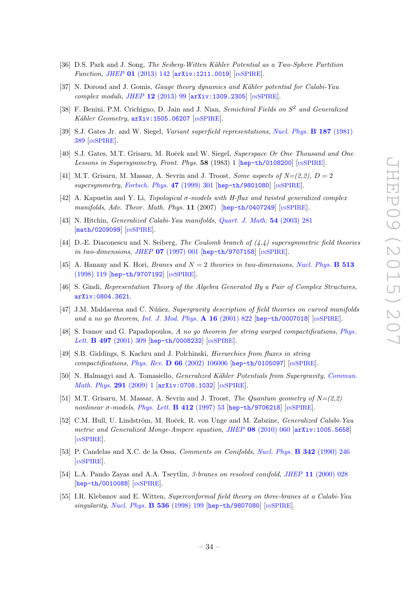- [36] D.S. Park and J. Song, The Seiberg-Witten Kähler Potential as a Two-Sphere Partition Function, JHEP 01 [\(2013\) 142](http://dx.doi.org/10.1007/JHEP01(2013)142) [[arXiv:1211.0019](http://arxiv.org/abs/1211.0019)] [IN[SPIRE](http://inspirehep.net/search?p=find+EPRINT+arXiv:1211.0019)].
- <span id="page-34-0"></span>[37] N. Doroud and J. Gomis, *Gauge theory dynamics and Kähler potential for Calabi-Yau* complex moduli, JHEP 12 [\(2013\) 99](http://dx.doi.org/10.1007/JHEP12(2013)099) [[arXiv:1309.2305](http://arxiv.org/abs/1309.2305)] [IN[SPIRE](http://inspirehep.net/search?p=find+EPRINT+arXiv:1309.2305)].
- <span id="page-34-1"></span>[38] F. Benini, P.M. Crichigno, D. Jain and J. Nian, Semichiral Fields on  $S^2$  and Generalized Kähler Geometry,  $arXiv:1505.06207$  [IN[SPIRE](http://inspirehep.net/search?p=find+EPRINT+arXiv:1505.06207)].
- <span id="page-34-2"></span>[39] S.J. Gates Jr. and W. Siegel, Variant superfield representations, [Nucl. Phys.](http://dx.doi.org/10.1016/0550-3213(81)90281-9) B 187 (1981) [389](http://dx.doi.org/10.1016/0550-3213(81)90281-9) [IN[SPIRE](http://inspirehep.net/search?p=find+J+Nucl.Phys.,B187,389)].
- <span id="page-34-3"></span>[40] S.J. Gates, M.T. Grisaru, M. Roček and W. Siegel, Superspace Or One Thousand and One Lessons in Supersymmetry, Front. Phys. 58 (1983) 1 [[hep-th/0108200](http://arxiv.org/abs/hep-th/0108200)] [IN[SPIRE](http://inspirehep.net/search?p=find+EPRINT+hep-th/0108200)].
- <span id="page-34-4"></span>[41] M.T. Grisaru, M. Massar, A. Sevrin and J. Troost, Some aspects of  $N=(2,2)$ ,  $D=2$ supersymmetry, [Fortsch. Phys.](http://dx.doi.org/10.1002/(SICI)1521-3978(199901)47:1/3<301::AID-PROP301>3.0.CO;2-F)  $47$  (1999) 301 [[hep-th/9801080](http://arxiv.org/abs/hep-th/9801080)] [IN[SPIRE](http://inspirehep.net/search?p=find+EPRINT+hep-th/9801080)].
- <span id="page-34-5"></span>[42] A. Kapustin and Y. Li, Topological  $\sigma$ -models with H-flux and twisted generalized complex manifolds, Adv. Theor. Math. Phys.  $11$  (2007) [[hep-th/0407249](http://arxiv.org/abs/hep-th/0407249)] [IN[SPIRE](http://inspirehep.net/search?p=find+EPRINT+hep-th/0407249)].
- <span id="page-34-6"></span>[43] N. Hitchin, Generalized Calabi-Yau manifolds, [Quart. J. Math.](http://dx.doi.org/10.1093/qjmath/54.3.281) 54 (2003) 281 [[math/0209099](http://arxiv.org/abs/math/0209099)] [IN[SPIRE](http://inspirehep.net/search?p=find+EPRINT+math/0209099)].
- <span id="page-34-7"></span>[44] D.-E. Diaconescu and N. Seiberg, The Coulomb branch of  $(4,4)$  supersymmetric field theories in two-dimensions, JHEP  $07$  [\(1997\) 001](http://dx.doi.org/10.1088/1126-6708/1997/07/001) [[hep-th/9707158](http://arxiv.org/abs/hep-th/9707158)] [IN[SPIRE](http://inspirehep.net/search?p=find+EPRINT+hep-th/9707158)].
- <span id="page-34-8"></span>[45] A. Hanany and K. Hori, *Branes and*  $N = 2$  *theories in two-dimensions, [Nucl. Phys.](http://dx.doi.org/10.1016/S0550-3213(97)00754-2)* **B 513** [\(1998\) 119](http://dx.doi.org/10.1016/S0550-3213(97)00754-2) [[hep-th/9707192](http://arxiv.org/abs/hep-th/9707192)] [IN[SPIRE](http://inspirehep.net/search?p=find+EPRINT+hep-th/9707192)].
- <span id="page-34-9"></span>[46] S. Gindi, Representation Theory of the Algebra Generated By a Pair of Complex Structures, [arXiv:0804.3621](http://arxiv.org/abs/0804.3621).
- <span id="page-34-10"></span>[47] J.M. Maldacena and C. Núñez, Supergravity description of field theories on curved manifolds and a no go theorem, [Int. J. Mod. Phys.](http://dx.doi.org/10.1142/S0217751X01003935) A 16 (2001) 822 [[hep-th/0007018](http://arxiv.org/abs/hep-th/0007018)] [IN[SPIRE](http://inspirehep.net/search?p=find+EPRINT+hep-th/0007018)].
- [48] S. Ivanov and G. Papadopoulos, A no go theorem for string warped compactifications, [Phys.](http://dx.doi.org/10.1016/S0370-2693(00)01330-7) Lett. **B 497** [\(2001\) 309](http://dx.doi.org/10.1016/S0370-2693(00)01330-7) [[hep-th/0008232](http://arxiv.org/abs/hep-th/0008232)] [IN[SPIRE](http://inspirehep.net/search?p=find+EPRINT+hep-th/0008232)].
- <span id="page-34-11"></span>[49] S.B. Giddings, S. Kachru and J. Polchinski, Hierarchies from fluxes in string compactifications, Phys. Rev. D 66 [\(2002\) 106006](http://dx.doi.org/10.1103/PhysRevD.66.106006) [[hep-th/0105097](http://arxiv.org/abs/hep-th/0105097)] [IN[SPIRE](http://inspirehep.net/search?p=find+EPRINT+hep-th/0105097)].
- <span id="page-34-12"></span>[50] N. Halmagyi and A. Tomasiello, *Generalized Kähler Potentials from Supergravity, [Commun.](http://dx.doi.org/10.1007/s00220-009-0881-6)* [Math. Phys.](http://dx.doi.org/10.1007/s00220-009-0881-6) 291 (2009) 1 [[arXiv:0708.1032](http://arxiv.org/abs/0708.1032)] [IN[SPIRE](http://inspirehep.net/search?p=find+EPRINT+arXiv:0708.1032)].
- [51] M.T. Grisaru, M. Massar, A. Sevrin and J. Troost, The Quantum geometry of  $N=(2,2)$ nonlinear  $\sigma$ -models, [Phys. Lett.](http://dx.doi.org/10.1016/S0370-2693(97)01053-8) **B 412** (1997) 53 [[hep-th/9706218](http://arxiv.org/abs/hep-th/9706218)] [IN[SPIRE](http://inspirehep.net/search?p=find+EPRINT+hep-th/9706218)].
- <span id="page-34-13"></span>[52] C.M. Hull, U. Lindström, M. Roček, R. von Unge and M. Zabzine, *Generalized Calabi-Yau* metric and Generalized Monge-Ampere equation, JHEP 08 [\(2010\) 060](http://dx.doi.org/10.1007/JHEP08(2010)060) [[arXiv:1005.5658](http://arxiv.org/abs/1005.5658)] [IN[SPIRE](http://inspirehep.net/search?p=find+EPRINT+arXiv:1005.5658)].
- <span id="page-34-14"></span>[53] P. Candelas and X.C. de la Ossa, Comments on Conifolds, [Nucl. Phys.](http://dx.doi.org/10.1016/0550-3213(90)90577-Z) B 342 (1990) 246 [IN[SPIRE](http://inspirehep.net/search?p=find+J+Nucl.Phys.,B342,246)].
- <span id="page-34-15"></span>[54] L.A. Pando Zayas and A.A. Tseytlin, 3-branes on resolved conifold, JHEP 11 [\(2000\) 028](http://dx.doi.org/10.1088/1126-6708/2000/11/028) [[hep-th/0010088](http://arxiv.org/abs/hep-th/0010088)] [IN[SPIRE](http://inspirehep.net/search?p=find+EPRINT+hep-th/0010088)].
- <span id="page-34-16"></span>[55] I.R. Klebanov and E. Witten, Superconformal field theory on three-branes at a Calabi-Yau singularity, [Nucl. Phys.](http://dx.doi.org/10.1016/S0550-3213(98)00654-3)  $\bf{B}$  536 (1998) 199 [[hep-th/9807080](http://arxiv.org/abs/hep-th/9807080)] [IN[SPIRE](http://inspirehep.net/search?p=find+EPRINT+hep-th/9807080)].